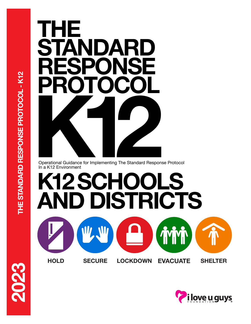

Operational Guidance for Implementing The Standard Response Protocol In a K12 Environment

**K12 SCHOOLS AND DISTRICTS**

**HOLD SECURE LOCKDOWN EVACUATE SHELTER**

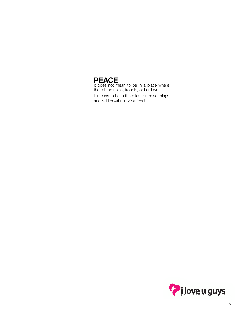## **PEACE**

It does not mean to be in a place where there is no noise, trouble, or hard work.

It means to be in the midst of those things and still be calm in your heart.

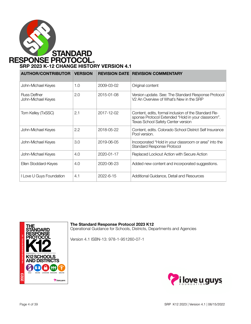

## **SRP 2023 K-12 CHANGE HISTORY VERSION 4.1**

| <b>AUTHOR/CONTRIBUTOR</b>          | <b>VERSION</b> | <b>REVISION DATE</b> | <b>REVISION COMMENTARY</b>                                                                                                                              |
|------------------------------------|----------------|----------------------|---------------------------------------------------------------------------------------------------------------------------------------------------------|
| John-Michael Keyes                 | 1.0            | 2009-03-02           | Original content                                                                                                                                        |
| Russ Deffner<br>John-Michael Keyes | 2.0            | 2015-01-08           | Version update. See: The Standard Response Protocol<br>V <sub>2</sub> An Overview of What's New in the SRP                                              |
| Tom Kelley (TxSSC)                 | 2.1            | 2017-12-02           | Content, edits, formal inclusion of the Standard Re-<br>sponse Protocol Extended "Hold in your classroom".<br><b>Texas School Safety Center version</b> |
| John-Michael Keyes                 | 2.2            | 2018-05-22           | Content, edits. Colorado School District Self Insurance<br>Pool version.                                                                                |
| John-Michael Keyes                 | 3.0            | 2019-06-05           | Incorporated "Hold in your classroom or area" into the<br><b>Standard Response Protocol</b>                                                             |
| John-Michael Keyes                 | 4.0            | 2020-01-17           | Replaced Lockout Action with Secure Action                                                                                                              |
| Ellen Stoddard-Keyes               | 4.0            | 2020-06-23           | Added new content and incorporated suggestions.                                                                                                         |
| I Love U Guys Foundation           | 4.1            | 2022-6-15            | Additional Guidance, Detail and Resources                                                                                                               |



**The Standard Response Protocol 2023 K12**

Operational Guidance for Schools, Districts, Departments and Agencies

Version 4.1 ISBN-13: 978-1-951260-07-1

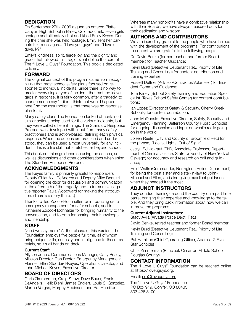## **DEDICATION**

On September 27th, 2006 a gunman entered Platte Canyon High School in Bailey, Colorado, held seven girls hostage and ultimately shot and killed Emily Keyes. During the time she was held hostage, Emily sent her parents text messages... "I love you guys" and "I love u guys. k?"

Emily's kindness, spirit, fierce joy, and the dignity and grace that followed this tragic event define the core of The "I Love U Guys" Foundation. This book is dedicated to Emily.

## **FORWARD**

The original concept of this program came from recognizing that most school safety plans focused on response to individual incidents. Since there is no way to predict every single type of incident, that method leaves gaps in response. It is fairly common, after a tragedy, to hear someone say "I didn't think that would happen here," so the assumption is that there was no response plan for it.

Many safety plans The Foundation looked at contained similar actions being used for the various incidents, but they were called different things. The Standard Response Protocol was developed with input from many safety practitioners and is action-based, defining each physical response. When the actions are practiced and understood, they can be used almost universally for any incident. This is a life skill that stretches far beyond school.

This book contains guidance on using the actions, as well as discussions and other considerations when using The Standard Response Protocol.

## **ACKNOWLEDGMENTS**

The Keyes family is primarily grateful to responders Deputy Chief A.J. DeAndrea and Deputy Mike Denuzzi for opening the door for discussion and communication in the aftermath of the tragedy, and to former investigative reporter Paula Woodward for making the introduction. (There's a story there…)

Thanks to Ted Zocco-Hochhalter for introducing us to emergency management for safer schools, and to Katherine Zocco-Hochhalter for bringing humanity to the conversation, and to both for sharing their knowledge and friendship.

## **STAFF**

Need we say more? At the release of this version, The Foundation employs five people full time, all of whom bring unique skills, curiosity and intelligence to these materials, so it's all hands on deck.

#### **Current Staff:**

Allyson Jones, Communications Manager, Carly Posey, Mission Director, Dan Rector, Emergency Management Planner, Ellen Stoddard-Keyes, Operations Director, and John-Michael Keyes, Executive Director

## **BOARD OF DIRECTORS**

Chris Zimmerman, Craig Straw, Dave Bauer, Frank DeAngelis, Heilit Biehl, James Englert, Louis S. Gonzalez, Martha Vargas, Murphy Robinson, and Pat Hamilton.

Whereas many nonprofits have a combative relationship with their Boards, we have always treasured ours for their dedication and wisdom.

## **AUTHORS AND CONTRIBUTORS**

We are incredibly grateful to the people who have helped with the development of the programs. For contributions to content we are grateful to the following people:

Dr. David Benke (former teacher and former Board member) for Teacher Guidance;

Kevin Burd (Detective Lieutenant Ret., Priority of Life Training and Consulting) for content contribution and training expertise;

Russell Deffner (Advisor/Contractor/Volunteer ) for Incident Command Guidance;

Tom Kelley (School Safety Training and Education Specialist, Texas School Safety Center) for content contributions;

Ian Lopez (Director of Safety & Security, Cherry Creek Schools) for content contribution;

John McDonald (Executive Director, Safety, Security and Emergency Planning, Jefferson County Public Schools) for ongoing discussion and input on what's really going on in the world;

Joleen Reefe (City and County of Broomfield Ret.) for the phrase, "Locks, Lights, Out of Sight";

Jaclyn Schildkraut (PhD, Associate Professor, Department of Criminal Justice, State University of New York at Oswego) for accuracy and research on drill and guidance;

Heidi Walts (Commander, Northglenn Police Department) for being the best sister and sister-in-law to John-Michael and Ellen, and also giving excellent guidance when they needed it the most.

## **ADJUNCT INSTRUCTORS**

They conduct trainings around the country on a part time basis, bringing their expertise and knowledge to the table. And they bring back information about how we can improve the programs

#### **Current Adjunct Instructors:**

Stacy Avila (Arvada Police Dept. Ret.)

David Benke, retired teacher and former Board member

Kevin Burd (Detective Lieutenant Ret., Priority of Life Training and Consulting)

Pat Hamilton (Chief Operating Officer, Adams 12 Five Star Schools)

Chris Zimmerman (Principal, Cimarron Middle School, Douglas County)

## **CONTACT INFORMATION**

The "I Love U Guys" Foundation can be reached online at<https://iloveuguys.org>.

Email: [srp@iloveuguys.org](mailto:srp@iloveuguys.org)

The "I Love U Guys" Foundation PO Box 919, Conifer, CO 80433 303.426.3100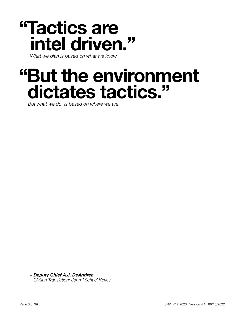# **"Tactics are intel driven."**

*What we plan is based on what we know.* 

# **"But the environment dictates tactics."**

*But what we do, is based on where we are.*

*– Deputy Chief A.J. DeAndrea*

*– Civilian Translation: John-Michael Keyes*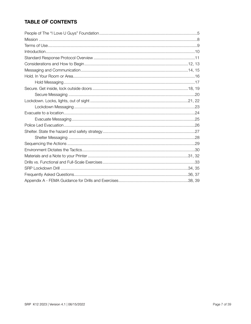## **TABLE OF CONTENTS**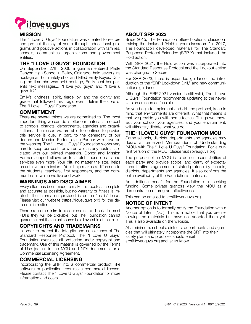

## **MISSION**

The "I Love U Guys" Foundation was created to restore and protect the joy of youth through educational programs and positive actions in collaboration with families, schools, communities, organizations and government entities.

## **THE "I LOVE U GUYS" FOUNDATION**

On September 27th, 2006 a gunman entered Platte Canyon High School in Bailey, Colorado, held seven girls hostage and ultimately shot and killed Emily Keyes. During the time she was held hostage, Emily sent her parents text messages... "I love you guys" and "I love u guys. k?"

Emily's kindness, spirit, fierce joy, and the dignity and grace that followed this tragic event define the core of The "I Love U Guys" Foundation.

## **COMMITMENT**

There are several things we are committed to. The most important thing we can do is offer our material at no cost to schools, districts, departments, agencies and organizations. The reason we are able to continue to provide this service is due, in part, to the generosity of our donors and Mission Partners (see Partner with Love on the website). The "I Love U Guys" Foundation works very hard to keep our costs down as well as any costs associated with our printed materials. Donor and Mission Partner support allows us to stretch those dollars and services even more. Your gift, no matter the size, helps us achieve our mission. Your help makes a difference to the students, teachers, first responders, and the communities in which we live and work.

## **WARNINGS AND DISCLAIMER**

Every effort has been made to make this book as complete and accurate as possible, but no warranty or fitness is implied. The information provided is on an "as is" basis. Please visit our website [\(https://iloveuguys.org](https://iloveuguys.org)) for the detailed information.

There are some links to resources in this book. In most PDFs they will be clickable, but The Foundation cannot guarantee that the actual source is still available at that site.

## **COPYRIGHTS AND TRADEMARKS**

In order to protect the integrity and consistency of The Standard Response Protocol, The "I Love U Guys" Foundation exercises all protection under copyright and trademark. Use of this material is governed by the Terms of Use (details in the MOU and NOI documents) or a Commercial Licensing Agreement.

## **COMMERCIAL LICENSING**

Incorporating the SRP into a commercial product, like software or publication, requires a commercial license. Please contact The "I Love U Guys" Foundation for more information and costs.

## **ABOUT SRP 2023**

Since 2015, The Foundation offered optional classroom training that included "Hold in your classroom." In 2017, The Foundation developed materials for The Standard Response Protocol Extended (SRP-X) that included the Hold action.

With SRP 2021, the Hold action was incorporated into the Standard Response Protocol and the Lockout action was changed to Secure.

For SRP 2023, there is expanded guidance, the introduction of the "SRP Lockdown Drill," and new communications guidance.

Although the SRP 2021 version is still valid, The "I Love U Guys" Foundation recommends updating to the newer version as soon as feasible.

As you begin to implement and drill the protocol, keep in mind that environments are different. What that means is that we provide you with some tactics. Things we know. But your school, your agencies, and your environment, will ultimately dictate what you do.

## **THE "I LOVE U GUYS" FOUNDATION MOU**

Some schools, districts, departments and agencies may desire a formalized Memorandum of Understanding (MOU) with The "I Love U Guys" Foundation. For a current version of the MOU, please visit [iloveuguys.org.](http://iloveuguys.org)

The purpose of an MOU is to define responsibilities of each party and provide scope, and clarity of expectations. It affirms agreement of stated protocol by schools, districts, departments and agencies. It also confirms the online availability of the Foundation's materials.

An additional benefit for the Foundation is in seeking funding. Some private grantors view the MOU as a demonstration of program effectiveness.

This can be emailed to [srp@iloveuguys.org](mailto:srp@iloveuguys.org)

## **NOTICE OF INTENT**

Another option is to formally notify the Foundation with a Notice of Intent (NOI). This is a notice that you are reviewing the materials but have not adopted them yet. This is also available on the website.

At a minimum, schools, districts, departments and agencies that will ultimately incorporate the SRP into their safety plans and practices should email [srp@iloveuguys.org](mailto:srp@iloveuguys.org) and let us know.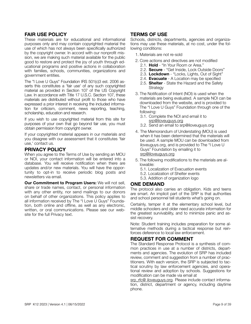## **FAIR USE POLICY**

These materials are for educational and informational purposes only and may contain copyrighted material the use of which has not always been specifically authorized by the copyright owner. In accord with our nonprofit mission, we are making such material available for the public good to restore and protect the joy of youth through educational programs and positive actions in collaboration with families, schools, communities, organizations and government entities.

The "I Love U Guys" Foundation IRS 501(c)3 est. 2006 asserts this constitutes a 'fair use' of any such copyrighted material as provided in Section 107 of the US Copyright Law. In accordance with Title 17 U.S.C. Section 107, these materials are distributed without profit to those who have expressed a prior interest in receiving the included information for criticism, comment, news reporting, teaching, scholarship, education and research.

If you wish to use copyrighted material from this site for purposes of your own that go beyond fair use, you must obtain permission from copyright owner.

If your copyrighted material appears in our materials and you disagree with our assessment that it constitutes 'fair use,' contact us.

## **PRIVACY POLICY**

When you agree to the Terms of Use by sending an MOU or NOI, your contact information will be entered into a database. You will receive notification when there are updates and/or new materials. You will have the opportunity to opt-in to receive periodic blog posts and newsletters via email.

**Our Commitment to Program Users:** We will not sell, share or trade names, contact, or personal information with any other entity, nor send mailings to our donors on behalf of other organizations. This policy applies to all information received by The "I Love U Guys" Foundation, both online and offline, as well as any electronic, written, or oral communications. Please see our website for the full Privacy text.

## **TERMS OF USE**

Schools, districts, departments, agencies and organizations may use these materials, at no cost, under the following conditions:

- 1. Materials are not re-sold
- 2. Core actions and directives are not modified 2.1. **Hold** - "In Your Room or Area."
	- 2.2. **Secure** "Get Inside, Lock Outside Doors"
	- 2.3. **Lockdown** "Locks, Lights, Out of Sight"
	- 2.4. **Evacuate** A Location may be specified
	- 2.5. **Shelter** State the Hazard and the Safety **Strategy**
- 3. The Notification of Intent (NOI) is used when the materials are being evaluated. A sample NOI can be downloaded from the website, and is provided to The "I Love U Guys" Foundation through one of the following:
	- 3.1. Complete the NOI and email it to [srp@iloveuguys.org](mailto:srp@iloveuguys.org)
	- 3.2. Send an email to srp@iloveuguys.org
- 4. The Memorandum of Understating (MOU) is used when it has been determined that the materials will be used. A sample MOU can be downloaded from iloveuguys.org, and is provided to The "I Love U Guys" Foundation by emailing it to [srp@iloveuguys.org](mailto:srp@iloveuguys.org)
- 5. The following modifications to the materials are allowable:
	- 5.1. Localization of Evacuation events
	- 5.2. Localization of Shelter events
	- 5.3. Addition of organization logo

## **ONE DEMAND**

The protocol also carries an obligation. Kids and teens are smart. An implicit part of the SRP is that authorities and school personnel tell students what's going on.

Certainly, temper it at the elementary school level, but middle schoolers and older need accurate information for the greatest survivability, and to minimize panic and assist recovery.

Note: Student training includes preparation for some alternative methods during a tactical response but reinforces deference to local law enforcement.

## **REQUEST FOR COMMENT**

The Standard Response Protocol is a synthesis of common practices in use at a number of districts, departments and agencies. The evolution of SRP has included review, comment and suggestion from a number of practitioners. With each version, the SRP is subjected to tactical scrutiny by law enforcement agencies, and operational review and adoption by schools. Suggestions for modification can be made via email at

[srp\\_rfc@ iloveuguys.org](mailto:srp_rfc@%20iloveuguys.org?subject=SRP%20Comments). Please include contact information, district, department or agency, including daytime phone.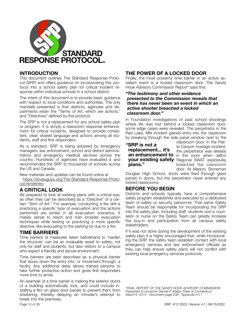

## **INTRODUCTION**

This document outlines The Standard Response Protocol (SRP) and offers guidance on incorporating this protocol into a school safety plan for critical incident response within individual schools in a school district.

The intent of this document is to provide basic guidance with respect to local conditions and authorities. The only mandate presented is that districts, agencies and departments retain the "Terms of Art, which are actions," and "Directives" defined by this protocol.

The SRP is not a replacement for any school safety plan or program. It is simply a classroom response enhancement for critical incidents, designed to provide consistent, clear, shared language and actions among all students, staff and first responders.

As a standard, SRP is being adopted by emergency managers, law enforcement, school and district administrators and emergency medical services across the country. Hundreds of agencies have evaluated it and recommended the SRP to thousands of schools across the US and Canada.

New materials and updates can be found online at

[https://iloveuguys.org/The-Standard-Response-Proto](https://iloveuguys.org/The-Standard-Response-Protocol.html#Intro)[col.html#Intro](https://iloveuguys.org/The-Standard-Response-Protocol.html#Intro)

## **A CRITICAL LOOK**

Be prepared to look at existing plans with a critical eye, as often they can be described as a "Directive" of a certain "Term of Art." For example, conducting a fire drill is practicing a specific type of evacuation and the actions performed are similar in all evacuation scenarios. It makes sense to teach and train broader evacuation techniques while testing or practicing a more specific directive, like evacuating to the parking lot due to a fire.

## **TIME BARRIERS**

Time barriers or measures taken beforehand to 'harden the structure' can be an invaluable asset to safety; not only for staff and students, but also visitors to a campus who expect a friendly and secure environment.

Time barriers are best described as a physical barrier that slows down the entry into, or movement through, a facility. Any additional delay allows trained persons to take further protective action and gives first responders more time to arrive.

An example of a time barrier is making the exterior doors of a building automatically lock, and could include installing a film on glass door panels to prevent them from shattering, thereby delaying an intruder's attempt to break into the premises.

## **THE POWER OF A LOCKED DOOR**

Finally, the most powerful time barrier in an active assailant event is a locked classroom door. The Sandy Hook Advisory Commission Report\* says this:

#### *"The testimony and other evidence presented to the Commission reveals that there has never been an event in which an active shooter breached a locked classroom door."*

In Foundation investigations of past school shootings where life was lost behind a locked classroom door, some edge cases were revealed. The perpetrator in the Red Lake, MN incident gained entry into the classroom by breaking through the side panel window next to the

## **"SRP is not a replacement... it's plans."**

classroom door. In the Platte Canyon hostage incident, the perpetrator was already **an enhancement to** in the room when Jeffco **your existing safety** Regional SWAT explosively breached the classroom door. At Marjory Stoneman

Douglas High School, shots were fired through glass panels in doors, but the perpetrator never entered any locked classrooms.

## **BEFORE YOU BEGIN**

Districts and schools typically have a comprehensive safety program established and executed by a dedicated team of safety or security personnel. That same Safety Team should be responsible for incorporating the SRP into the safety plan. Including staff, students and a counselor or nurse on the Safety Team can greatly increase the buy-in and participation from all campus safety stakeholders.

If it was not done during the development of the existing safety plan it is highly encouraged that, while incorporating the SRP, the safety team establish contact with local emergency services and law enforcement officials as they can help ensure safety plans will not conflict with existing local emergency services protocols.

*\*FINAL REPORT OF THE SANDY HOOK ADVISORY COMMISSION Presented to Governor Dannel P. Malloy State of Connecticut March 6, 2015 - Document page 238 - Appendix A-I.1*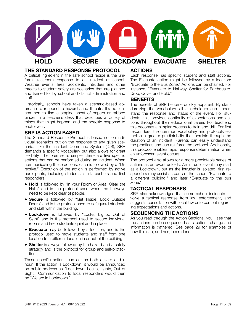

## **THE STANDARD RESPONSE PROTOCOL**

A critical ingredient in the safe school recipe is the uniform classroom response to an incident at school. Weather events, fires, accidents, intruders and other threats to student safety are scenarios that are planned and trained for by school and district administration and staff.

Historically, schools have taken a scenario-based approach to respond to hazards and threats. It's not uncommon to find a stapled sheaf of papers or tabbed binder in a teacher's desk that describes a variety of things that might happen, and the specific response to each event.

## **SRP IS ACTION BASED**

The Standard Response Protocol is based not on individual scenarios but on the response to any given scenario. Like the Incident Command System (ICS), SRP demands a specific vocabulary but also allows for great flexibility. The premise is simple: there are five specific actions that can be performed during an incident. When communicating these actions, each is followed by a "Directive." Execution of the action is performed by active participants, including students, staff, teachers and first responders.

- **Hold** is followed by "In your Room or Area. Clear the Halls" and is the protocol used when the hallways need to be kept clear of people.
- **Secure** is followed by "Get Inside, Lock Outside Doors" and is the protocol used to safeguard students and staff within the building.
- **Lockdown** is followed by "Locks, Lights, Out of Sight" and is the protocol used to secure individual rooms and keep students quiet and in place.
- **Evacuate** may be followed by a location, and is the protocol used to move students and staff from one location to a different location in or out of the building.
- **Shelter** is always followed by the hazard and a safety strategy and is the protocol for group and self-protection.

These specific actions can act as both a verb and a noun. If the action is Lockdown, it would be announced on public address as "Lockdown! Locks, Lights, Out of Sight." Communication to local responders would then be "We are in Lockdown."

## **ACTIONS**

Each response has specific student and staff actions. The Evacuate action might be followed by a location: "Evacuate to the Bus Zone." Actions can be chained. For instance, "Evacuate to Hallway. Shelter for Earthquake. Drop, Cover and Hold."

#### **BENEFITS**

The benefits of SRP become quickly apparent. By standardizing the vocabulary, all stakeholders can understand the response and status of the event. For students, this provides continuity of expectations and actions throughout their educational career. For teachers, this becomes a simpler process to train and drill. For first responders, the common vocabulary and protocols establish a greater predictability that persists through the duration of an incident. Parents can easily understand the practices and can reinforce the protocol. Additionally, this protocol enables rapid response determination when an unforeseen event occurs.

The protocol also allows for a more predictable series of actions as an event unfolds. An intruder event may start as a Lockdown, but as the intruder is isolated, first responders may assist as parts of the school "Evacuate to a different building," and later "Evacuate to the bus zone."

## **TACTICAL RESPONSES**

SRP also acknowledges that some school incidents involve a tactical response from law enforcement, and suggests consultation with local law enforcement regarding expectations and actions.

## **SEQUENCING THE ACTIONS**

As you read through the Action Sections, you'll see that the actions can be sequenced as situations change and information is gathered. See page 29 for examples of how this can, and has, been done.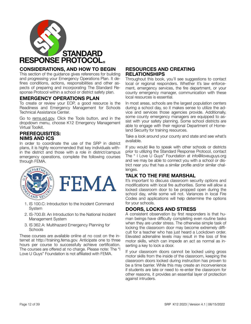

## **CONSIDERATIONS, AND HOW TO BEGIN**

This section of the guidance gives references for building and progressing your Emergency Operations Plan. It defines conditions, actions, responsibilities and other aspects of preparing and incorporating The Standard Response Protocol within a school or district safety plan.

## **EMERGENCY OPERATIONS PLAN**

To create or review your EOP, a good resource is the Readiness and Emergency Management for Schools Technical Assistance Center.

Go to [rems.ed.gov](http://rems.ed.gov). Click the Tools button, and in the dropdown menu, choose K12 Emergency Management Virtual Toolkit.

## **PREREQUISITES: NIMS AND ICS**

In order to coordinate the use of the SRP in district plans, it is highly recommended that key individuals within the district and those with a role in district/campus emergency operations, complete the following courses through FEMA.



- 1. IS 100.C: Introduction to the Incident Command System
- 2. IS-700.B: An Introduction to the National Incident Management System
- 3. IS 362.A: Multihazard Emergency Planning for **Schools**

These courses are available online at no cost on the internet at http://training.fema.gov. Anticipate one to three hours per course to successfully achieve certification. The courses are offered at no charge. Please note: The "I Love U Guys" Foundation is not affiliated with FEMA.

## **RESOURCES AND CREATING RELATIONSHIPS**

Throughout this book, you'll see suggestions to contact local or regional responders. Whether it's law enforcement, emergency services, the fire department, or your county emergency manager, communication with these local resources is essential.

In most areas, schools are the largest population centers during a school day, so it makes sense to utilize the advice and services those agencies provide. Additionally, some county emergency managers are equipped to assist with your safety planning. Some school districts are able to engage with their regional Department of Homeland Security for training resources.

Take a look around your county and state and see what's available.

If you would like to speak with other schools or districts prior to utilizing the Standard Response Protocol, contact The " I Love U Guys" Foundation at info@iloveuguys.org and we may be able to connect you with a school or district near you that has a similar profile and/or similar challenges.

## **TALK TO THE FIRE MARSHAL**

It's important to discuss classroom security options and modifications with local fire authorities. Some will allow a locked classroom door to be propped open during the school day, while some will not. Variances in local Fire Codes and applications will help determine the options for your schools.

## **DOORS, LOCKS AND STRESS**

A consistent observation by first responders is that human beings have difficulty completing even routine tasks when they are under stress. The otherwise simple task of locking the classroom door may become extremely difficult for a teacher who has just heard a Lockdown order. Elevated adrenaline levels may result in the loss of fine motor skills, which can impede an act as normal as inserting a key to lock a door.

If your classroom doors cannot be locked using gross motor skills from the inside of the classroom, keeping the classroom doors locked during instruction has proven to be a time barrier. While this may create an inconvenience if students are late or need to re-enter the classroom for other reasons, it provides an essential layer of protection against intruders.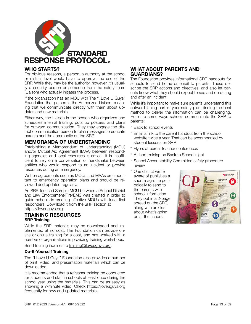

## **WHO STARTS?**

For obvious reasons, a person in authority at the school or district level would have to approve the use of the SRP. While they may be the authority, however, it's usually a security person or someone from the safety team (Liaison) who actually initiates the process.

If the organization has an MOU with The "I Love U Guys" Foundation that person is the Authorized Liaison, meaning that we communicate directly with them about updates and new materials.

Either way, the Liaison is the person who organizes and schedules internal training, puts up posters, and plans for outward communication. They may engage the district communication person to plan messages to educate parents and the community on the SRP.

## **MEMORANDA OF UNDERSTANDING**

Establishing a Memorandum of Understanding (MOU) and/or Mutual Aid Agreement (MAA) between responding agencies and local resources is critical. It is insufficient to rely on a conversation or handshake between entities who would respond to an incident or provide resources during an emergency.

Written agreements such as MOUs and MAAs are important to emergency operation plans and should be reviewed and updated regularly.

An SRP-focused Sample MOU between a School District and Law Enforcement/Fire/EMS was created in order to guide schools in creating effective MOUs with local first responders. Download it from the SRP section at [https://iloveuguys.org](https://iloveuguys.org/The-Standard-Response-Protocol.html)

#### **TRAINING RESOURCES SRP Training**

While the SRP materials may be downloaded and implemented at no cost, The Foundation can provide onsite or online training for a cost, and has worked with a number of organizations in providing training workshops.

Send training inquiries to [training@iloveuguys.org.](mailto:training@iloveuguys.org)

#### **Do-It-Yourself Training**

The "I Love U Guys" Foundation also provides a number of print, video, and presentation materials which can be downloaded.

It is recommended that a refresher training be conducted for students and staff in schools at least once during the school year using the materials. This can be as easy as showing a 7-minute video. Check <https://iloveuguys.org> frequently for new and updated materials.

## **WHAT ABOUT PARENTS AND GUARDIANS?**

The Foundation provides informational SRP handouts for schools to send home or email to parents. These describe the SRP actions and directives, and also let parents know what they should expect to see and do during and after an incident.

While it's important to make sure parents understand this outward-facing part of your safety plan, finding the best method to deliver the information can be challenging. Here are some ways schools communicate the SRP to parents:

- **Back to school events**
- Email a link to the parent handout from the school website twice a year. That can be accompanied by student lessons on SRP.
- \* Flyers at parent teacher conferences
- \* A short training on Back to School night
- \* School Accountability Committee safety procedure review
- \* One district we're aware of publishes a short magazine periodically to send to the parents with school information. They put in a 2-page spread on the SRP, along with articles about what's going on at the school.

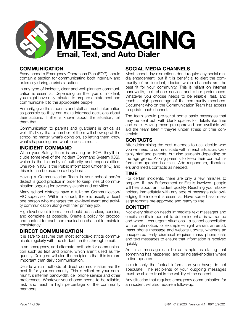

## **COMMUNICATION**

Every school's Emergency Operations Plan (EOP) should contain a section for communicating both internally and externally during a crisis situation.

In any type of incident, clear and well-planned communication is essential. Depending on the type of incident, you might have only minutes to prepare a statement and communicate it to the appropriate people.

Primarily, give the students and staff as much information as possible so they can make informed decisions about their actions. If little is known about the situation, tell them that.

Communication to parents and guardians is critical as well. It's likely that a number of them will show up at the school no matter what's going on, so letting them know what's happening and what to do is a must.

#### **INCIDENT COMMAND**

When your Safety Team is creating an EOP, they'll include some level of the Incident Command System (ICS), which is the hierarchy of authority and responsibilities. One role in ICS is the Public Information Officer (PIO) and this role can be used on a daily basis.

Having a Communication Team in your school and/or district is good practice in order to keep lines of communication ongoing for everyday events and activities.

Many school districts have a full-time Communication/ PIO supervisor. Within a school, there is usually at least one person who manages the low-level event and activity communication along with their primary job.

High-level event information should be as clear, concise, and complete as possible. Create a policy for protocol and content for each communication channel to maintain consistency.

#### **DIRECT COMMUNICATION**

It is safe to assume that most schools/districts communicate regularly with the student families through email.

In an emergency, add alternate methods for communication such as text and phone, which aren't used as frequently. Doing so will alert the recipients that this is more important than daily communication.

Decide which methods of direct communication are the best fit for your community. This is reliant on your community's internet bandwidth, cell phone service and other preferences. Whatever you choose needs to be reliable, fast, and reach a high percentage of the community members.

## **SOCIAL MEDIA CHANNELS**

Most school day disruptions don't require any social media engagement, but if it is beneficial to alert the community of an incident, decide which channels are the best fit for your community. This is reliant on internet bandwidth, cell phone service and other preferences. Whatever you choose needs to be reliable, fast, and reach a high percentage of the community members. Document who on the Communication Team has access to update each channel.

The team should pre-script some basic messages that may be sent out, with blank spaces for details like time and date. Having these pre-approved and available will aid the team later if they're under stress or time constraints.

#### **CONTACTS**

After determining the best methods to use, decide who you will need to communicate with in each situation. Certainly staff and parents, but also students depending on the age group. Asking parents to keep their contact information updated is critical. Add responders, dispatchers and media contacts as needed.

#### **TIME**

For certain incidents, there are only a few minutes to prepare. If Law Enforcement or Fire is involved, people will hear about an incident quickly. Reaching your stakeholders immediately with any type of message acknowledging the incident is essential. Have some basic message formats pre-approved and ready to use.

#### **CONTENT**

Not every situation needs immediate text messages and emails, so it's important to determine what is warranted and when. Less urgent situations—a school cancellation with ample notice, for example—might warrant an email, mass phone message and website update, whereas an unexpected early dismissal requires mass phone calls and text messages to ensure that information is received quickly.

An initial message can be as simple as stating that something has happened, and telling stakeholders where to find updates.

Include only the factual information you have; do not speculate. The recipients of your outgoing messages must be able to trust in the validity of the content.

Any situation that requires emergency communication for an incident will also require a follow-up.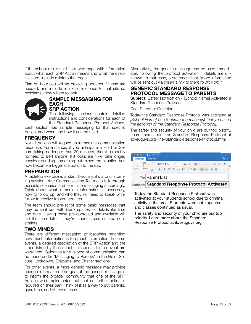If the school or district has a web page with information about what each SRP Action means and what the directives are, include a link to that page.

Plan on how you will be providing updates if those are needed, and include a link or reference to that site so recipients know where to look.



#### **SAMPLE MESSAGING FOR EACH SRP ACTION**

The following sections contain detailed instructions and considerations for each of the Standard Response Protocol Actions.

Each section has sample messaging for that specific Action, and when and how it can be used.

## **FREQUENCY**

Not all Actions will require an immediate communication response. For instance, if you anticipate a Hold or Secure taking no longer than 20 minutes, there's probably no need to alert anyone. If it looks like it will take longer, consider sending something out, since the situation has now become a bigger disruption to the day.

## **PREPARATION**

A tabletop exercise is a start; basically, it's a brainstorming session. Your Communication Team can talk through possible scenarios and formulate messaging accordingly. Think about what immediate information is necessary, how to follow up, and who they will need to speak with/ follow to receive trusted updates.

The team should pre-script some basic messages that may be sent out, with blank spaces for details like time and date. Having these pre-approved and available will aid the team later if they're under stress or time constraints.

## **TWO MINDS**

There are different messaging philosophies regarding how much information is too much information. In some events, a detailed description of the SRP Action and the steps taken by the school in response to the event are warranted. Guidance for this type of communication can be found under "Messaging to Parents" in the Hold, Secure, Lockdown, Evacuate, and Shelter sections.

For other events, a more generic message may provide enough information. The goal of the generic message is to inform the broader community that one of the SRP Actions was implemented but that no further action is required on their part. Think of it as a way to put parents, guardians, and others at ease.

Alternatively, the generic message can be used immediately following the protocol activation if details are unknown. In that case, a statement that "more information will be sent out via (*insert a link to them to click on*)."

## **GENERIC STANDARD RESPONSE PROTOCOL MESSAGE TO PARENTS**

**Subject:** Safety Notification - [School Name] Activated a Standard Response Protocol

Dear Parent or Guardian,

Today the Standard Response Protocol was activated at *[School Name]* due to *[state the reason(s) that you used the action(s) of the Standard Response Protocol]*.

The safety and security of your child are our top priority. Learn more about the Standard Response Protocol at [iloveuguys.org/The-Standard-Response-Protocol.html](http://iloveuguys.org/The-Standard-Response-Protocol.html)

|              | <b>Options</b>                                 |  |
|--------------|------------------------------------------------|--|
|              | Calibri (Bo., + 11 → A= A+ A+ A) 三 · 三 →三 →三 引 |  |
| <b>Paste</b> | B                                              |  |
|              | To: Parent List                                |  |
|              | Subiect: Standard Response Protocol Activated  |  |

Today the Standard Response Protocol was activated at your students school due to criminal activity in the area. Students were not impacted and classes continued as usual.

The safety and security of your child are our top priority. Learn more about the Standard Response Protocol at iloveuguys.org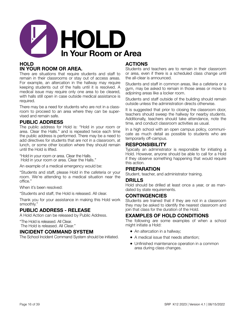

## **HOLD IN YOUR ROOM OR AREA.**

There are situations that require students and staff to remain in their classrooms or stay out of access areas. For example, an altercation in the hallway may require keeping students out of the halls until it is resolved. A medical issue may require only one area to be cleared, with halls still open in case outside medical assistance is required.

There may be a need for students who are not in a classroom to proceed to an area where they can be supervised and remain safe.

## **PUBLIC ADDRESS**

The public address for Hold is: "Hold in your room or area. Clear the Halls." and is repeated twice each time the public address is performed. There may be a need to add directives for students that are not in a classroom, at lunch, or some other location where they should remain until the Hold is lifted.

"Hold in your room or area. Clear the Halls. Hold in your room or area. Clear the Halls."

An example of a medical emergency would be:

"Students and staff, please Hold in the cafeteria or your room. We're attending to a medical situation near the office."

When it's been resolved:

"Students and staff, the Hold is released. All clear.

Thank you for your assistance in making this Hold work smoothly."

## **PUBLIC ADDRESS - RELEASE**

A Hold Action can be released by Public Address.

"The Hold is released. All Clear. The Hold is released. All Clear."

## **INCIDENT COMMAND SYSTEM**

The School Incident Command System should be initiated.

## **ACTIONS**

Students and teachers are to remain in their classroom or area, even if there is a scheduled class change until the all-clear is announced.

Students and staff in common areas, like a cafeteria or a gym, may be asked to remain in those areas or move to adjoining areas like a locker room.

Students and staff outside of the building should remain outside unless the administration directs otherwise.

It is suggested that prior to closing the classroom door, teachers should sweep the hallway for nearby students. Additionally, teachers should take attendance, note the time, and conduct classroom activities as usual.

In a high school with an open campus policy, communicate as much detail as possible to students who are temporarily off-campus.

## **RESPONSIBILITY**

Typically an administrator is responsible for initiating a Hold. However, anyone should be able to call for a Hold if they observe something happening that would require this action.

## **PREPARATION**

Student, teacher, and administrator training.

#### **DRILLS**

Hold should be drilled at least once a year, or as mandated by state requirements.

## **CONTINGENCIES**

Students are trained that if they are not in a classroom they may be asked to identify the nearest classroom and join that class for the duration of the Hold.

## **EXAMPLES OF HOLD CONDITIONS**

The following are some examples of when a school might initiate a Hold:

- An altercation in a hallway;
- A medical issue that needs attention;
- Unfinished maintenance operation in a common area during class changes.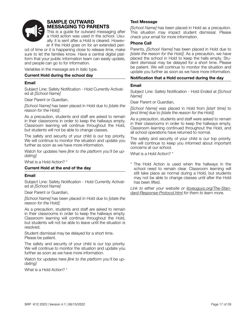

## **SAMPLE OUTWARD MESSAGING TO PARENTS**

This is a guide for outward messaging after a Hold action was used in the school. Usually, it is sent after a Hold is cleared. However if the Hold goes on for an extended peri-

od of time or it is happening close to release time, make sure to let the families know. Have a central digital platform that your public information team can easily update, and people can go to for information.

Variables in the message are in italic type.

#### **Current Hold during the school day**

#### **Email**

Subject Line: Safety Notification - Hold Currently Activated at *[School Name]*

Dear Parent or Guardian,

*[School Name]* has been placed in Hold due to *[state the reason for the Hold]*.

As a precaution, students and staff are asked to remain in their classrooms in order to keep the hallways empty. Classroom learning will continue throughout the Hold, but students will not be able to change classes.

The safety and security of your child is our top priority. We will continue to monitor the situation and update you further as soon as we have more information.

Watch for updates here *[link to the platform you'll be updating]*

What is a Hold Action? \*

#### **Current Hold at the end of the day**

#### **Email**

Subject Line: Safety Notification - Hold Currently Activated at *[School Name]*

Dear Parent or Guardian,

*[School Name]* has been placed in Hold due to *[state the reason for the Hold]*.

As a precaution, students and staff are asked to remain in their classrooms in order to keep the hallways empty. Classroom learning will continue throughout the Hold, but students will not be able to leave until the situation is resolved.

Student dismissal may be delayed for a short time. Please be patient.

The safety and security of your child is our top priority. We will continue to monitor the situation and update you further as soon as we have more information.

Watch for updates here *[link to the platform you'll be updating]*

What is a Hold Action? \*

#### **Text Message**

*[School Name]* has been placed in Hold as a precaution. This situation may impact student dismissal. Please check your email for more information.

#### **Phone Call**

Parents, *[School Name]* has been placed in Hold due to *[state the reason for the Hold]*. As a precaution, we have placed the school in Hold to keep the halls empty. Student dismissal may be delayed for a short time. Please be patient. We will continue to monitor the situation and update you further as soon as we have more information.

#### **Notification that a Hold occurred during the day**

#### **Email**

Subject Line: Safety Notification - Hold Ended at *[School Name]*

Dear Parent or Guardian,

*[School Name]* was placed in Hold from *[start time]* to *[end time]* due to *[state the reason for the Hold]*.

As a precaution, students and staff were asked to remain in their classrooms in order to keep the hallways empty. Classroom learning continued throughout the Hold, and all school operations have returned to normal.

The safety and security of your child is our top priority. We will continue to keep you informed about important concerns at our school.

What is a Hold Action? \*

\* The Hold Action is used when the hallways in the school need to remain clear. Classroom learning will still take place as normal during a Hold, but students may not be able to change classes until after the Hold has been lifted.

*Link to either your website or [iloveuguys.org/The-Stan](http://iloveuguys.org/The-Standard-Response-Protocol.html)[dard-Response-Protocol.html](http://iloveuguys.org/The-Standard-Response-Protocol.html) for them to learn more.*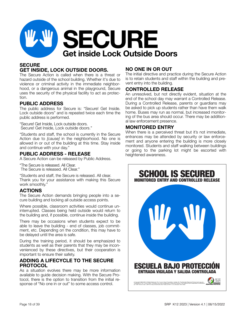

## **SECURE GET INSIDE, LOCK OUTSIDE DOORS.**

The Secure Action is called when there is a threat or hazard outside of the school building. Whether it's due to violence or criminal activity in the immediate neighborhood, or a dangerous animal in the playground, Secure uses the security of the physical facility to act as protection.

## **PUBLIC ADDRESS**

The public address for Secure is: "Secure! Get Inside. Lock outside doors" and is repeated twice each time the public address is performed.

"Secure! Get Inside, Lock outside doors. Secure! Get Inside, Lock outside doors."

"Students and staff, the school is currently in the Secure Action due to *[cause]* in the neighborhood. No one is allowed in or out of the building at this time. Stay inside and continue with your day."

## **PUBLIC ADDRESS - RELEASE**

A Secure Action can be released by Public Address.

"The Secure is released. All Clear. The Secure is released. All Clear."

"Students and staff, the Secure is released. All clear. Thank you for your assistance with making this Secure work smoothly."

## **ACTIONS**

The Secure Action demands bringing people into a secure building and locking all outside access points.

Where possible, classroom activities would continue uninterrupted. Classes being held outside would return to the building and, if possible, continue inside the building.

There may be occasions when students expect to be able to leave the building - end of classes, job commitment, etc. Depending on the condition, this may have to be delayed until the area is safe.

During the training period, it should be emphasized to students as well as their parents that they may be inconvenienced by these directives, but their cooperation is important to ensure their safety.

## **ADDING A LIFECYCLE TO THE SECURE PROTOCOL**

As a situation evolves there may be more information available to guide decision making. With the Secure Protocol, there is the option to transition from the initial response of "No one in or out" to some access control.

## **NO ONE IN OR OUT**

The initial directive and practice during the Secure Action is to retain students and staff within the building and prevent entry into the building.

## **CONTROLLED RELEASE**

An unresolved, but not directly evident, situation at the end of the school day may warrant a Controlled Release. During a Controlled Release, parents or guardians may be asked to pick up students rather than have them walk home. Buses may run as normal, but increased monitoring of the bus area should occur. There may be additional law enforcement presence.

## **MONITORED ENTRY**

When there is a perceived threat but it's not immediate, entrances may be attended by security or law enforcement and anyone entering the building is more closely monitored. Students and staff walking between buildings or going to the parking lot might be escorted with heightened awareness.

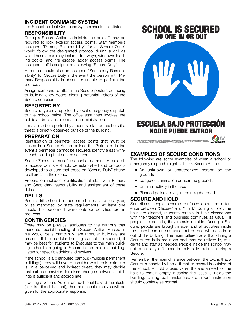## **INCIDENT COMMAND SYSTEM**

The School Incident Command System should be initiated.

#### **RESPONSIBILITY**

During a Secure Action, administration or staff may be required to lock exterior access points. Staff members assigned "Primary Responsibility" for a "Secure Zone" would follow the designated protocol during a drill as well. These areas may include doorways, windows, loading docks, and fire escape ladder access points. The assigned staff is designated as having "Secure Duty."

A person should also be assigned "Secondary Responsibility" for Secure Duty in the event the person with Primary Responsibility is absent or unable to perform the protocol.

Assign someone to attach the Secure posters outfacing to building entry doors, alerting potential visitors of the Secure condition.

## **REPORTED BY**

Secure is typically reported by local emergency dispatch to the school office. The office staff then invokes the public address and informs the administration.

It may also be reported by students, staff or teachers if a threat is directly observed outside of the building.

## **PREPARATION**

Identification of perimeter access points that must be locked in a Secure Action defines the Perimeter. In the event a perimeter cannot be secured, identify areas within each building that can be secured.

Secure Zones - areas of a school or campus with exterior access points - should be established and protocols developed to ensure that those on "Secure Duty" attend to all areas in their zone.

Preparation includes identification of staff with Primary and Secondary responsibility and assignment of these duties.

## **DRILLS**

Secure drills should be performed at least twice a year, or as mandated by state requirements. At least one should be performed while outdoor activities are in progress.

## **CONTINGENCIES**

There may be physical attributes to the campus that mandate special handling of a Secure Action. An example would be a campus where modular buildings are present. If the modular building cannot be secured, it may be best for students to Evacuate to the main building rather than going to Secure in the modular building. Listen for specific additional directives.

If the school is a distributed campus (multiple permanent buildings), they will have to consider what their perimeter is. In a perceived and indirect threat, they may decide that extra supervision for class changes between buildings is sufficient and appropriate.

If during a Secure Action, an additional hazard manifests (i.e.: fire, flood, hazmat), then additional directives will be given for the appropriate response.



## **EXAMPLES OF SECURE CONDITIONS**

The following are some examples of when a school or emergency dispatch might call for a Secure Action.

- An unknown or unauthorized person on the grounds
- Dangerous animal on or near the grounds
- Criminal activity in the area
- Planned police activity in the neighborhood

## **SECURE AND HOLD**

Sometimes people become confused about the difference between "Secure" and "Hold." During a Hold, the halls are cleared, students remain in their classrooms with their teachers and business continues as usual. If people are outside, they remain outside. During a Secure, people are brought inside, and all activities inside the school continue as usual but no one will move in or out of the building. The main difference is that during a Secure the halls are open and may be utilized by students and staff as needed. People inside the school may not notice any difference in their daily routines during a Secure.

Remember, the main difference between the two is that a Secure is enacted when a threat or hazard is outside of the school. A Hold is used when there is a need for the halls to remain empty, meaning the issue is inside the building. During both instances, classroom instruction should continue as normal.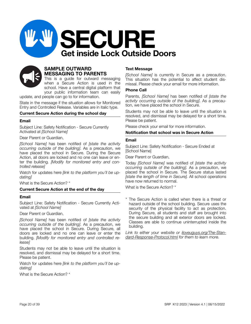



## **SAMPLE OUTWARD MESSAGING TO PARENTS**

This is a guide for outward messaging when a Secure Action is used in the school. Have a central digital platform that your public information team can easily

update, and people can go to for information.

State in the message if the situation allows for Monitored Entry and Controlled Release. Variables are in italic type.

#### **Current Secure Action during the school day**

#### **Email**

Subject Line: Safety Notification - Secure Currently Activated at *[School Name]*

Dear Parent or Guardian,

*[School Name]* has been notified of *[state the activity occurring outside of the building]*. As a precaution, we have placed the school in Secure. During the Secure Action, all doors are locked and no one can leave or enter the building. *[Modify for monitored entry and controlled release]*

Watch for updates here *[link to the platform you'll be updating]*

What is the Secure Action? \*

#### **Current Secure Action at the end of the day**

#### **Email**

Subject Line: Safety Notification - Secure Currently Activated at *[School Name]*

#### Dear Parent or Guardian,

*[School Name]* has been notified of *[state the activity occurring outside of the building]*. As a precaution, we have placed the school in Secure. During Secure, all doors are locked and no one can leave or enter the building. *[Modify for monitored entry and controlled release]*

Students may not be able to leave until the situation is resolved, and dismissal may be delayed for a short time. Please be patient.

Watch for updates here *[link to the platform you'll be updating]*

What is the Secure Action? \*

#### **Text Message**

*[School Name]* is currently in Secure as a precaution. This situation has the potential to affect student dismissal. Please check your email for more information.

#### **Phone Call**

Parents, *[School Name]* has been notified of *[state the activity occurring outside of the building]*. As a precaution, we have placed the school in Secure.

Students may not be able to leave until the situation is resolved, and dismissal may be delayed for a short time. Please be patient.

Please check your email for more information.

#### **Notification that school was in Secure Action**

#### **Email**

Subject Line: Safety Notification - Secure Ended at [School Name]

Dear Parent or Guardian,

Today *[School Name]* was notified of *[state the activity occurring outside of the building]*. As a precaution, we placed the school in Secure. The Secure status lasted *[state the length of time in Secure].* All school operations have now returned to normal.

What is the Secure Action? \*

\* The Secure Action is called when there is a threat or hazard outside of the school building. Secure uses the security of the physical facility to act as protection. During Secure, all students and staff are brought into the secure building and all exterior doors are locked. Classes are able to continue uninterrupted inside the building.

*Link to either your website or [iloveuguys.org/The-Stan](http://iloveuguys.org/The-Standard-Response-Protocol.html)[dard-Response-Protocol.html](http://iloveuguys.org/The-Standard-Response-Protocol.html) for them to learn more.*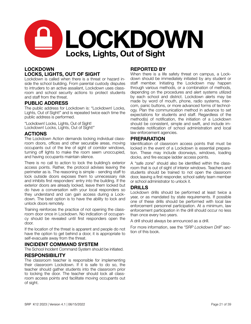

## **LOCKDOWN LOCKS, LIGHTS, OUT OF SIGHT**

Lockdown is called when there is a threat or hazard inside the school building. From parental custody disputes to intruders to an active assailant, Lockdown uses classroom and school security actions to protect students and staff from the threat.

## **PUBLIC ADDRESS**

The public address for Lockdown is: "Lockdown! Locks, Lights, Out of Sight!" and is repeated twice each time the public address is performed.

"Lockdown! Locks, Lights, Out of Sight! Lockdown! Locks, Lights, Out of Sight!"

#### **ACTIONS**

The Lockdown Action demands locking individual classroom doors, offices and other securable areas, moving occupants out of the line of sight of corridor windows, turning off lights to make the room seem unoccupied, and having occupants maintain silence.

There is no call to action to lock the building's exterior access points. Rather, the protocol advises leaving the perimeter as is. The reasoning is simple - sending staff to lock outside doors exposes them to unnecessary risk and inhibits first responders' entry into the building. If the exterior doors are already locked, leave them locked but do have a conversation with your local responders so they understand and can gain access during a Lockdown. The best option is to have the ability to lock and unlock doors remotely.

Training reinforces the practice of not opening the classroom door once in Lockdown. No indication of occupancy should be revealed until first responders open the door.

If the location of the threat is apparent and people do not have the option to get behind a door, it is appropriate to self-evacuate away from the threat.

## **INCIDENT COMMAND SYSTEM**

The School Incident Command System should be initiated.

## **RESPONSIBILITY**

The classroom teacher is responsible for implementing their classroom Lockdown. If it is safe to do so, the teacher should gather students into the classroom prior to locking the door. The teacher should lock all classroom access points and facilitate moving occupants out of sight.

#### **REPORTED BY**

When there is a life safety threat on campus, a Lockdown should be immediately initiated by any student or staff member. Initiating the Lockdown may happen through various methods, or a combination of methods, depending on the procedures and alert systems utilized by each school and district. Lockdown alerts may be made by word of mouth, phone, radio systems, intercom, panic buttons, or more advanced forms of technology. Plan the communication method in advance to set expectations for students and staff. Regardless of the method(s) of notification, the initiation of a Lockdown should be consistent, simple and swift, and include immediate notification of school administration and local law enforcement agencies.

#### **PREPARATION**

Identification of classroom access points that must be locked in the event of a Lockdown is essential preparation. These may include doorways, windows, loading docks, and fire escape ladder access points.

A "safe zone" should also be identified within the classroom that is out of sight of interior windows. Teachers and students should be trained to not open the classroom door, leaving a first responder, school safety team member or school administrator to unlock it.

#### **DRILLS**

Lockdown drills should be performed at least twice a year, or as mandated by state requirements. If possible one of these drills should be performed with local law enforcement personnel participation. At a minimum, law enforcement participation in the drill should occur no less than once every two years.

A drill should always be announced as a drill.

For more information, see the *"SRP Lockdown Drill"* section of this book.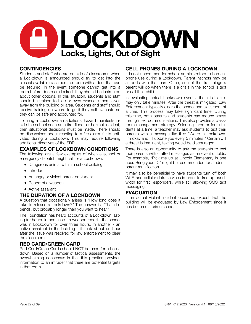

## **CONTINGENCIES**

Students and staff who are outside of classrooms when a Lockdown is announced should try to get into the closest available classroom, or room with a door that can be secured. In the event someone cannot get into a room before doors are locked, they should be instructed about other options. In this situation, students and staff should be trained to hide or even evacuate themselves away from the building or area. Students and staff should receive training on where to go if they self-evacuate so they can be safe and accounted for.

If during a Lockdown an additional hazard manifests inside the school such as a fire, flood, or hazmat incident, then situational decisions must be made. There should be discussions about reacting to a fire alarm if it is activated during a Lockdown. This may require following additional directives of the SRP.

## **EXAMPLES OF LOCKDOWN CONDITIONS**

The following are a few examples of when a school or emergency dispatch might call for a Lockdown.

- Dangerous animal within a school building
- Intruder
- An angry or violent parent or student
- Report of a weapon
- Active assailant

#### **THE DURATION OF A LOCKDOWN**

A question that occasionally arises is "How long does it take to release a Lockdown?" The answer is, "That depends, but probably longer than you want to hear."

The Foundation has heard accounts of a Lockdown lasting for hours. In one case - a weapon report - the school was in Lockdown for over three hours. In another - an active assailant in the building - it took about an hour after the issue was resolved for law enforcement to clear the classrooms.

## **RED CARD/GREEN CARD**

Red Card/Green Cards should NOT be used for a Lockdown. Based on a number of tactical assessments, the overwhelming consensus is that this practice provides information to an intruder that there are potential targets in that room.

## **CELL PHONES DURING A LOCKDOWN**

It is not uncommon for school administrators to ban cell phone use during a Lockdown. Parent instincts may be at odds with that ban. Often, one of the first things a parent will do when there is a crisis in the school is text or call their child.

In evaluating actual Lockdown events, the initial crisis may only take minutes. After the threat is mitigated, Law Enforcement typically clears the school one classroom at a time. This process may take significant time. During this time, both parents and students can reduce stress through text communications. This also provides a classroom management strategy. Selecting three or four students at a time, a teacher may ask students to text their parents with a message like this: "We're in Lockdown. I'm okay and I'll update you every 5 minutes." Certainly, if a threat is imminent, texting would be discouraged.

There is also an opportunity to ask the students to text their parents with crafted messages as an event unfolds. For example, "Pick me up at Lincoln Elementary in one hour. Bring your ID," might be recommended for studentparent reunification.

It may also be beneficial to have students turn off both Wi-Fi and cellular data services in order to free up bandwidth for first responders, while still allowing SMS text messaging.

#### **EVACUATION**

If an actual violent incident occurred, expect that the building will be evacuated by Law Enforcement since it has become a crime scene.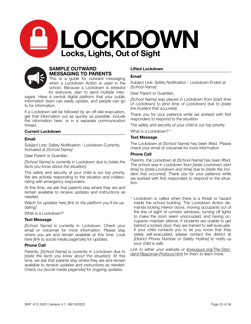



## **SAMPLE OUTWARD MESSAGING TO PARENTS**

This is a guide for outward messaging when a Lockdown Action is used in the school. Because a Lockdown is stressful for everyone, plan to send multiple mes-

sages. Have a central digital platform that your public information team can easily update, and people can go to for information.

If a Lockdown will be followed by an off-site evacuation, get that information out as quickly as possible. include the information here, or in a separate communication thread.

#### **Current Lockdown**

#### **Email**

Subject Line: Safety Notification - Lockdown Currently Activated at *[School Name]*

Dear Parent or Guardian,

*[School Name]* is currently in Lockdown due to *[state the facts you know about the situation]*.

The safety and security of your child is our top priority. We are actively responding to the situation and collaborating with emergency responders.

At this time, we ask that parents stay where they are and remain available to receive updates and instructions as needed.

Watch for updates here *[link to the platform you'll be updating]*

What is a Lockdown?\*

#### **Text Message**:

*[School Name]* is currently in Lockdown. Check your email or voicemail for more information. Please stay where you are and remain available at this time. Look here *[link to social media page/site]* for updates.

#### **Phone Call**

Parents, *[School Name]* is currently in Lockdown due to *[state the facts you know about the situation]*. At this time, we ask that parents stay where they are and remain available to receive updates and instructions as needed. Check our *[social media page/site]* for ongoing updates.

#### **Lifted Lockdown**

#### **Email**

Subject Line: Safety Notification - Lockdown Ended at *[School Name]*

Dear Parent or Guardian,

*[School Name]* was placed in Lockdown from *[start time of Lockdown]* to *[end time of Lockdown]* due to *[state the incident that occurred]*.

Thank you for your patience while we worked with first responders to respond to the situation.

The safety and security of your child is our top priority.

What is a Lockdown? \*

#### **Text Message**

The Lockdown at *[School Name]* has been lifted. Please check your email or voicemail for more information.

#### **Phone Call**

Parents, the Lockdown at *[School Name]* has been lifted. The school was in Lockdown from *[state Lockdown start time]* to *[state Lockdown end time]* due to *[state the incident that occurred]*. Thank you for your patience while we worked with first responders to respond to the situation.

\* Lockdown is called when there is a threat or hazard inside the school building. The Lockdown Action demands locking interior doors, moving occupants out of the line of sight of corridor windows, turning off lights to make the room seem unoccupied, and having occupants maintain silence. If students are unable to get behind a locked door, they are trained to self-evacuate. If your child contacts you to let you know that they safely self-evacuated, please contact the district at *[District Phone Number or Safety Hotline]* to notify us your child is safe.

*Link to either your website or [iloveuguys.org/The-Stan](http://iloveuguys.org/The-Standard-Response-Protocol.html)[dard-Response-Protocol.html](http://iloveuguys.org/The-Standard-Response-Protocol.html) for them to learn more.*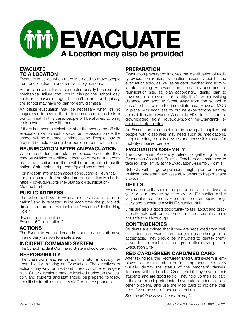

## **EVACUATE TO A LOCATION**

Evacuate is called when there is a need to move people from one location to another for safety reasons.

An on-site evacuation is conducted usually because of a mechanical failure that would disrupt the school day, such as a power outage. If it can't be resolved quickly, the school may have to plan for early dismissal.

An offsite evacuation may be necessary when it's no longer safe to stay in the building such as a gas leak or bomb threat. In this case, people will be allowed to bring their personal items with them.

If there has been a violent event at the school, an off-site evacuation will almost always be necessary since the school will be deemed a crime scene. People may or may not be able to bring their personal items with them.

## **REUNIFICATION AFTER AN EVACUATION**

When the students and staff are evacuated off-site, they may be walking to a different location or being transported to the location and there will be an organized reunification of students and parents/guardians at that site.

For in-depth information about conducting a Reunification, please refer to The Standard Reunification Method: https://iloveuguys.org/The-Standard-Reunification-Method.html

## **PUBLIC ADDRESS**

The public address for Evacuate is: "Evacuate! To a Location" and is repeated twice each time the public address is performed. For instance, "Evacuate! To the Flag Pole."

"Evacuate! To a location. Evacuate! To a location."

## **ACTIONS**

The Evacuate Action demands students and staff move in an orderly fashion to a safe area.

## **INCIDENT COMMAND SYSTEM**

The School Incident Command System should be initiated.

## **RESPONSIBILITY**

The classroom teacher or administrator is usually responsible for initiating an Evacuation. The directives or actions may vary for fire, bomb threat, or other emergencies. Other directions may be invoked during an evacuation, and students and staff should be prepared to follow specific instructions given by staff or first responders.

#### **PREPARATION**

Evacuation preparation involves the identification of facility evacuation routes, evacuation assembly points and evacuation sites, as well as student, teacher, and administrator training. An evacuation site usually becomes the reunification site, so plan accordingly. Ideally, plan to have an offsite evacuation facility that's within walking distance and another father away from the school in case the hazard is in the immediate area. Have an MOU in place with each site to outline expectations and responsibilities in advance. A sample MOU for this can be downloaded from [iloveuguys.org/The-Standard-Re](http://iloveuguys.org/The-Standard-Response-Protocol.html)[sponse-Protocol.html](http://iloveuguys.org/The-Standard-Response-Protocol.html)

An Evacuation plan must include having all supplies that people with disabilities may need such as medications, supplementary mobility devices and accessible routes for mobility-impaired people.

## **EVACUATION ASSEMBLY**

The Evacuation Assembly refers to gathering at the Evacuation Assembly Point(s). Teachers are instructed to take roll after arrival at the Evacuation Assembly Point(s).

Schools with large populations might plan on having multiple, predetermined assembly points to help manage crowds.

## **DRILLS**

Evacuation drills should be performed at least twice a year or as mandated by state law. An Evacuation drill is very similar to a fire drill. Fire drills are often required regularly and constitute a valid Evacuation drill.

Drills are also a good opportunity to talk about and practice alternate exit routes to use in case a certain area is not safe to walk through.

## **CONTINGENCIES**

Students are trained that if they are separated from their class during an Evacuation, then joining another group is acceptable. They should be instructed to identify themselves to the teacher in their group after arriving at the Evacuation Site.

## **RED CARD/GREEN CARD/MED CARD**

After taking roll, the Red/Green/Med Card system is employed for administrators or first responders to quickly visually identify the status of the teachers' classes. Teachers will hold up the Green card if they have all their students and are good to go. They hold up the Red card if they are missing students, have extra students or another problem, and use the Med card to indicate their need for some sort of medical attention.

*See the Materials section for examples.*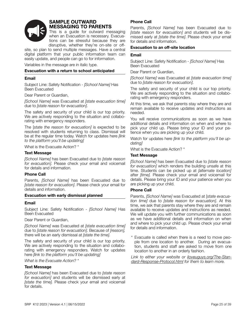

## **SAMPLE OUTWARD MESSAGING TO PARENTS**

This is a guide for outward messaging when an Evacuation is necessary. Evacuations can be stressful because they are disruptive, whether they're on-site or off-

site, so plan to send multiple messages. Have a central digital platform that your public information team can easily update, and people can go to for information.

Variables in the message are in italic type.

#### **Evacuation with a return to school anticipated**

#### **Email**

Subject Line: Safety Notification - *[School Name]* Has Been Evacuated

Dear Parent or Guardian,

*[School Name]* was Evacuated at *[state evacuation time]*  due to *[state reason for evacuation]*.

The safety and security of your child is our top priority. We are actively responding to the situation and collaborating with emergency responders.

The [*state the reason for evacuation]* is expected to be resolved with students returning to class. Dismissal will be at the regular time today. Watch for updates here *[link to the platform you'll be updating]*

What is the Evacuate Action? \*

#### **Text Message**

*[School Name]* has been Evacuated due to *[state reason for evacuation]*. Please check your email and voicemail for details and information.

#### **Phone Call**

Parents, *[School Name]* has been Evacuated due to *[state reason for evacuation]*. Please check your email for details and information.

#### **Evacuation with early dismissal planned**

#### **Email**

Subject Line: Safety Notification - *[School Name]* Has Been Evacuated

Dear Parent or Guardian,

*[School Name]* was Evacuated at *[state evacuation time]* due to *[state reason for evacuation]*. Because of *[reason],*  there will be an early dismissal at *[state the time].*

The safety and security of your child is our top priority. We are actively responding to the situation and collaborating with emergency responders. Watch for updates here *[link to the platform you'll be updating]*

*What is the Evacuate Action? \**

#### **Text Message**

*[School Name]* has been Evacuated due to *[state reason for evacuation]* and students will be dismissed early at *[state the time].* Please check your email and voicemail for details.

#### **Phone Call**

Parents, *[School Name]* has been Evacuated due to *[state reason for evacuation] a*nd students will be dismissed early at *[state the time]*. Please check your email for details and information.

#### **Evacuation to an off-site location**

#### **Email**

Subject Line: Safety Notification - *[School Name]* Has Been Evacuated

Dear Parent or Guardian,

*[School Name]* was Evacuated at *[state evacuation time]*  due to *[state reason for evacuation]*.

The safety and security of your child is our top priority. We are actively responding to the situation and collaborating with emergency responders.

At this time, we ask that parents stay where they are and remain available to receive updates and instructions as needed.

You will receive communications as soon as we have additional details and information on when and where to pick your child up. Please bring your ID and your patience when you are picking up your child.

Watch for updates here *[link to the platform you'll be updating]*

What is the Evacuate Action? \*

#### **Text Message**

*[School Name]* has been Evacuated due to *[state reason for evacuation]* which renders the building unsafe at this time. Students can be picked up at *[alternate location]*  after *[time].* Please check your email and voicemail for details. Please bring your ID and your patience when you are picking up your child.

#### **Phone Call**

Parents, *[School Name]* was Evacuated at [*state evacuation time]* due to *[state reason for evacuation]*. At this time, we ask that parents stay where they are and remain available to receive updates and instructions as needed. We will update you with further communications as soon as we have additional details and information on when and where to pick your child up. Please check your email for details and information.

\* Evacuate is called when there is a need to move people from one location to another. During an evacuation, students and staff are asked to move from one location to another in an orderly fashion.

*Link to either your website or [iloveuguys.org/The-Stan](http://iloveuguys.org/The-Standard-Response-Protocol.html)[dard-Response-Protocol.html](http://iloveuguys.org/The-Standard-Response-Protocol.html) for them to learn more.*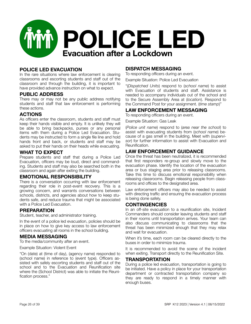

## **POLICE LED EVACUATION**

In the rare situations where law enforcement is clearing classrooms and escorting students and staff out of the classroom and through the building, it is important to have provided advance instruction on what to expect.

## **PUBLIC ADDRESS**

There may or may not be any public address notifying students and staff that law enforcement is performing these actions.

## **ACTIONS**

As officers enter the classroom, students and staff must keep their hands visible and empty. It is unlikely they will be able to bring backpacks, purses or any personal items with them during a Police Led Evacuation. Students may be instructed to form a single file line and hold hands front and back, or students and staff may be asked to put their hands on their heads while evacuating.

## **WHAT TO EXPECT**

Prepare students and staff that during a Police Led Evacuation, officers may be loud, direct and commanding. Students and staff may also be searched both in the classroom and again after exiting the building.

## **EMOTIONAL RESPONSIBILITY**

There is a conversation occurring with law enforcement regarding their role in post-event recovery. This is a growing concern, and warrants conversations between schools, districts, and agencies about how to keep students safe, and reduce trauma that might be associated with a Police Led Evacuation.

## **PREPARATION**

Student, teacher, and administrator training.

In the event of a police led evacuation, policies should be in place on how to give key access to law enforcement officers evacuating all rooms in the school building.

## **MEDIA MESSAGING**

To the media/community after an event.

Example Situation: Violent Event

"On (date) at (time of day), (agency name) responded to (school name) in reference to (event type). Officers assisted with safely escorting students and staff out of the school and to the Evacuation and Reunification site where the (School District) was able to initiate the Reunification process."

## **DISPATCH MESSAGING**

To responding officers during an event.

Example Situation: Police Led Evacuation

"(*Dispatched Units*) respond to (*school name*) to assist with Evacuation of students and staff. Assistance is needed to accompany individuals out of the school and to the Secure Assembly Area at (*location*). Respond to the Command Post for your assignment. (*time stamp*)"

## **LAW ENFORCEMENT MESSAGING**

To responding officers during an event.

Example Situation: Gas Leak

(*Police unit name*) respond to (*area near the school*) to assist with evacuating students from (*school name*) because of a gas smell in the building. Meet with (*supervisor*) for further information to assist with Evacuation and Reunification.

## **LAW ENFORCEMENT GUIDANCE**

Once the threat has been neutralized, it is recommended that first responders re-group and slowly move to the evacuation phase. Identify the location of the evacuation area or bus staging area prior to releasing classrooms. Take this time to discuss emotional responsibility when releasing classrooms. Begin releasing people from classrooms and offices to the designated area.

Law enforcement officers may also be needed to assist with directing traffic and ensuring the evacuation process is being done safely.

## **CONTINGENCIES**

In an off-site evacuation to a reunification site, Incident Commanders should consider leaving students and staff in their rooms until transportation arrives. Your team can also discuss communicating to classrooms that the threat has been minimized enough that they may relax and wait for evacuation.

When it's time, each room can be cleared directly to the buses in order to minimize trauma.

It is recommended to avoid the scene of the incident when exiting. Transport directly to the Reunification Site.

## **TRANSPORTATION**

During a police led evacuation, transportation is going to be initiated. Have a policy in place for your transportation department or contracted transportation company so they are ready to respond in a timely manner with enough buses.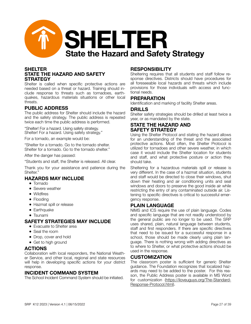

## **SHELTER STATE THE HAZARD AND SAFETY STRATEGY**

Shelter is called when specific protective actions are needed based on a threat or hazard. Training should include response to threats such as tornadoes, earthquakes, hazardous materials situations or other local threats.

## **PUBLIC ADDRESS**

The public address for Shelter should include the hazard and the safety strategy. The public address is repeated twice each time the public address is performed.

"Shelter! For a hazard. Using safety strategy. Shelter! For a hazard. Using safety strategy."

For a tornado, an example would be:

"Shelter for a tornado. Go to the tornado shelter. Shelter for a tornado. Go to the tornado shelter."

After the danger has passed:

"Students and staff, the Shelter is released. All clear.

Thank you for your assistance and patience during the Shelter."

## **HAZARDS MAY INCLUDE**

- Tornado
- Severe weather
- Wildfires
- Flooding
- Hazmat spill or release
- Earthquake
- Tsunami

## **SAFETY STRATEGIES MAY INCLUDE**

- Evacuate to Shelter area
- Seal the room
- Drop, cover and hold
- Get to high ground

## **ACTIONS**

Collaboration with local responders, the National Weather Service, and other local, regional and state resources will help in developing specific actions for your district response.

## **INCIDENT COMMAND SYSTEM**

The School Incident Command System should be initiated.

## **RESPONSIBILITY**

Sheltering requires that all students and staff follow response directives. Districts should have procedures for all foreseeable local hazards and threats which include provisions for those individuals with access and functional needs.

#### **PREPARATION**

Identification and marking of facility Shelter areas.

#### **DRILLS**

Shelter safety strategies should be drilled at least twice a year, or as mandated by the state.

## **STATE THE HAZARD AND SAFETY STRATEGY**

Using the Shelter Protocol and stating the hazard allows for an understanding of the threat and the associated protective actions. Most often, the Shelter Protocol is utilized for tornadoes and other severe weather, in which case it would include the Shelter location for students and staff, and what protective posture or action they should take.

Sheltering for a hazardous materials spill or release is very different. In the case of a hazmat situation, students and staff would be directed to close their windows, shut down their heating and air conditioning units and seal windows and doors to preserve the good inside air while restricting the entry of any contaminated outside air. Listening to specific directives is critical to successful emergency response.

## **PLAIN LANGUAGE**

NIMS and ICS require the use of plain language. Codes and specific language that are not readily understood by the general public are no longer to be used. The SRP uses shared, plain, natural language between students, staff and first responders. If there are specific directives that need to be issued for a successful response in a school, those should be made clearly using plain language. There is nothing wrong with adding directives as to where to Shelter, or what protective actions should be used in the response.

## **CUSTOMIZATION**

The classroom poster is sufficient for generic Shelter guidance. The Foundation recognizes that localized hazards may need to be added to the poster. For this reason, the Public Address poster is available in MS Word for customization ([https://iloveuguys.org/The-Standard-](https://iloveuguys.org/The-Standard-Response-Protocol.html)[Response-Protocol.html\).](https://iloveuguys.org/The-Standard-Response-Protocol.html)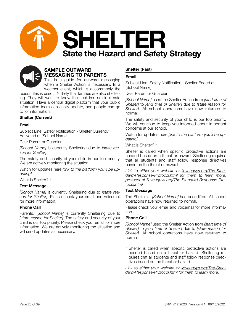



when a Shelter Action is necessary. In a weather event, which is a commonly the

reason this is used, it's likely that families are also sheltering. They will want to know their children are in a safe situation. Have a central digital platform that your public information team can easily update, and people can go to for information.

## **Shelter (Current)**

#### **Email**

Subject Line: Safety Notification - Shelter Currently Activated at [School Name]

Dear Parent or Guardian,

*[School Name]* is currently Sheltering due to *[state reason for Shelter]*.

The safety and security of your child is our top priority. We are actively monitoring the situation.

Watch for updates here *[link to the platform you'll be updating]*

What is Shelter? \*

#### **Text Message**

*[School Name]* is currently Sheltering due to *[state reason for Shelter]*. Please check your email and voicemail for more information.

#### **Phone Call**

Parents, [*School Name]* is currently Sheltering due to *[state reason for Shelter]*. The safety and security of your child is our top priority. Please check your email for more information. We are actively monitoring the situation and will send updates as necessary.

#### **Shelter (Past)**

#### **Email**

Subject Line: Safety Notification - Shelter Ended at [School Name]

Dear Parent or Guardian,

*[School Name]* used the Shelter Action from *[start time of Shelter]* to *[end time of Shelter]* due to *[state reason for Shelter]*. All school operations have now returned to normal.

The safety and security of your child is our top priority. We will continue to keep you informed about important concerns at our school.

Watch for updates here *[link to the platform you'll be updating]*

What is Shelter? \*

Shelter is called when specific protective actions are needed based on a threat or hazard. Sheltering requires that all students and staff follow response directives based on the threat or hazard.

*Link to either your website or [iloveuguys.org/The-Stan](http://iloveuguys.org/The-Standard-Response-Protocol.html)[dard-Response-Protocol.html](http://iloveuguys.org/The-Standard-Response-Protocol.html) for them to learn more. protocol at iloveuguys.org/The-Standard-Response-Protocol.html* 

#### **Text Message**

The Shelter at *[School Name]* has been lifted. All school operations have now returned to normal.

Please check your email and voicemail for more information.

#### **Phone Call**

*[School Name]* used the Shelter Action from *[start time of Shelter]* to *[end time of Shelter]* due to *[state reason for Shelter]*. All school operations have now returned to normal.

\* Shelter is called when specific protective actions are needed based on a threat or hazard. Sheltering requires that all students and staff follow response directives based on the threat or hazard.

*Link to either your website or [iloveuguys.org/The-Stan](http://iloveuguys.org/The-Standard-Response-Protocol.html)[dard-Response-Protocol.html](http://iloveuguys.org/The-Standard-Response-Protocol.html) for them to learn more.*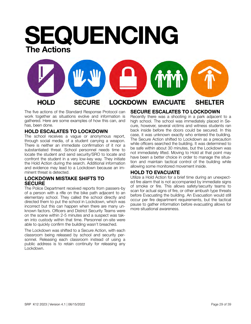## **SEQUENCING The Actions**



The five actions of the Standard Response Protocol can work together as situations evolve and information is gathered. Here are some examples of how this can, and has, been done.

## **HOLD ESCALATES TO LOCKDOWN**

The school receives a vague or anonymous report, through social media, of a student carrying a weapon. There is neither an immediate confirmation of it nor a substantiated threat. School personnel needs time to locate the student and send security/SRO to locate and confront the student in a very low-key way. They initiate the Hold Action during the search. Additional information and evidence may lead to a Lockdown because an imminent threat is detected.

## **LOCKDOWN MISTAKE SHIFTS TO SECURE**

The Police Department received reports from passers-by of a person with a rifle on the bike path adjacent to an elementary school. They called the school directly and directed them to put the school in Lockdown, which was incorrect but this can happen when there are many unknown factors. Officers and District Security Teams were on the scene within 2-5 minutes and a suspect was taken into custody within that time. Personnel on-site were able to quickly confirm the building wasn't breached.

The Lockdown was shifted to a Secure Action, with each classroom being released by school and security personnel. Releasing each classroom instead of using a public address is to retain continuity for releasing any Lockdown.

## **SECURE ESCALATES TO LOCKDOWN**

Recently there was a shooting in a park adjacent to a high school. The school was immediately placed in Secure, however, several victims and witness students ran back inside before the doors could be secured. In this case, it was unknown exactly who entered the building. The Secure Action shifted to Lockdown as a precaution while officers searched the building. It was determined to be safe within about 30 minutes, but the Lockdown was not immediately lifted. Moving to Hold at that point may have been a better choice in order to manage the situation and maintain tactical control of the building while allowing some monitored movement inside.

## **HOLD TO EVACUATE**

Utilize a Hold Action for a brief time during an unexpected fire alarm that is not accompanied by immediate signs of smoke or fire. This allows safety/security teams to scan for actual signs of fire, or other ambush type threats before Evacuating the building. An Evacuation would still occur per fire department requirements, but the tactical pause to gather information before evacuating allows for more situational awareness.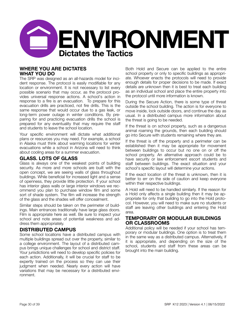

## **WHERE YOU ARE DICTATES WHAT YOU DO**

The SRP was designed as an all-hazards model for incident response. The protocol is easily modifiable for any location or environment. It is not necessary to list every possible scenario that may occur, as the protocol provides universal response actions. A school's action in response to a fire is an evacuation. To prepare for this evacuation drills are practiced, not fire drills. This is the same response that would occur due to a gas leak, or long-term power outage in winter conditions. By preparing for and practicing evacuation drills the school is prepared for any eventuality that may require the staff and students to leave the school location.

Your specific environment will dictate what additional plans or resources you may need. For example, a school in Alaska must think about warming locations for winter evacuations while a school in Arizona will need to think about cooling areas for a summer evacuation.

## **GLASS. LOTS OF GLASS**

Glass is always one of the weakest points of building security. As more and more schools are built with the open concept, we are seeing walls of glass throughout buildings. While beneficial for increased light and a sense of openness, they provide little protection. If your school has interior glass walls or large interior windows we recommend you plan to purchase window film and some sort of shade system. The film will increase the strength of the glass and the shades will offer concealment.

Similar steps should be taken on the perimeter of buildings. Main entrances traditionally have large glass doors. Film is appropriate here as well. Be sure to inspect your school and note areas of potential weakness and address them appropriately.

## **DISTRIBUTED CAMPUS**

Some school locations have a distributed campus with multiple buildings spread out over the property, similar to a college environment. The layout of a distributed campus brings unique challenges for school and district staff. Your jurisdictions will need to develop specific policies for each action. Additionally, it will be crucial for staff to be expertly trained on the process so they can use their judgment when needed. Nearly every action will have variations that may be necessary for a distributed environment.

Both Hold and Secure can be applied to the entire school property or only to specific buildings as appropriate. Whoever enacts the protocols will need to provide enough details for proper decisions to be made. If exact details are unknown then it is best to treat each building as an individual school and place the entire property into the protocol until more information is known.

During the Secure Action, there is some type of threat outside the school building. The action is for everyone to move inside, lock outside doors, and continue the day as usual. In a distributed campus more information about the threat is going to be needed.

If the threat is on school property, such as a dangerous animal roaming the grounds, then each building should go into Secure with students remaining where they are.

If the threat is off the property and a perimeter can be established then it may be appropriate for movement between buildings to occur but no one on or off the school property. An alternative approach could be to have security or law enforcement escort students and staff between buildings. The exact situation and your school's specific layout will determine your actions.

If the exact location of the threat is unknown, then it is better to err on the side of caution and keep everyone within their respective buildings.

A Hold will need to be handled similarly. If the reason for a Hold only affects a single building then it may be appropriate for only that building to go into the Hold protocol. However, you will need to make sure no students or staff are leaving other buildings and entering the Hold area.

## **TEMPORARY OR MODULAR BUILDINGS OR CLASSROOMS**

Additional policy will be needed if your school has temporary or modular buildings. One option is to treat them in the same way as a distributed campus. Alternatively, if it is appropriate, and depending on the size of the school, students and staff from these areas can be brought into the main building.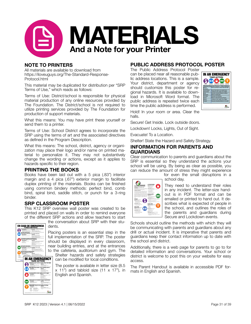

## **NOTE TO PRINTERS**

All materials are available to download from https://iloveuguys.org/The-Standard-Response-Protocol.html

This material may be duplicated for distribution per "SRP Terms of Use," which reads as follows:

Terms of Use: District/school is responsible for physical material production of any online resources provided by The Foundation. The District/school is not required to utilize printing services provided by The Foundation for production of support materials.

What this means: You may have print these yourself or send them to a printer.

Terms of Use: School District agrees to incorporate the SRP using the terms of art and the associated directives as defined in the Program Description.

What this means: The school, district, agency or organization may place their logo and/or name on printed material to personalize it. They may not substantively change the wording or actions, except as it applies to hazards specific to their region.

## **PRINTING THE BOOKS**

Books have been laid out with a 5 pica (.83") interior margin and a 4 pica (.67") exterior margin to facilitate duplex printing of the materials. Books can be finished using common bindery methods: perfect bind, comb bind, spiral bind, saddle stitch, or punch for a 3-ring binder.

## **SRP CLASSROOM POSTER**

This K12 SRP overview wall poster was created to be printed and placed on walls in order to remind everyone of the different SRP actions and allow teachers to start



the conversation about SRP with their students.

Placing posters is an essential step in the full implementation of the SRP. The poster should be displayed in every classroom, near building entries, and at the entrances to the cafeteria, auditorium and gym. The

Shelter hazards and safety strategies can be modified for local conditions.

The poster is available in letter size (8.5  $x$  11") and tabloid size (11  $x$  17"), in English and Spanish.

## **PUBLIC ADDRESS PROTOCOL POSTER**

The Public Address Protocol Poster can be placed near all reasonable public address locations. This is a sample. Your district, department or agency should customize this poster for regional hazards. It is available to download in Microsoft Word format. The public address is repeated twice each time the public address is performed.



Hold! In your room or area. Clear the halls.

Secure! Get Inside. Lock outside doors.

Lockdown! Locks, Lights, Out of Sight.

Evacuate! To a Location.

Shelter! State the Hazard and Safety Strategy.

## **INFORMATION FOR PARENTS AND GUARDIANS**

Clear communication to parents and guardians about the SRP is essential so they understand the actions your school will be using. By being as clear as possible, you can reduce the amount of stress they might experience

> for even the small disruptions in a school day.



They need to understand their roles in any incident. The letter-size handout is in PDF format and can be emailed or printed to hand out. It describes what is expected of people in the school, and outlines the roles of the parents and guardians during Secure and Lockdown events.

Schools should outline the methods with which they will be communicating with parents and guardians about any drill or actual incident. It is imperative that parents and guardians keep their contact information up to date with the school and district.

Additionally, there is a web page for parents to go to for detailed information and conversations. Your school or district is welcome to post this on your website for easy access.

The Parent Handout is available in accessible PDF formats in English and Spanish.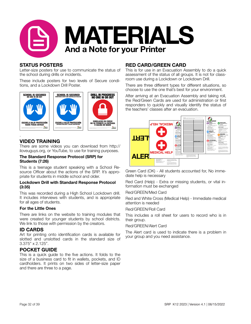

## **STATUS POSTERS**

Letter-size posters for use to communicate the status of the school during drills or incidents.

These include posters for two levels of Secure conditions, and a Lockdown Drill Poster.



## **VIDEO TRAINING**

There are some videos you can download from http:// iloveuguys.org, or YouTube, to use for training purposes.

#### **The Standard Response Protocol (SRP) for Students (7:26)**

This is a teenage student speaking with a School Resource Officer about the actions of the SRP. It's appropriate for students in middle school and older.

#### **Lockdown Drill with Standard Response Protocol (3:35)**

This was recorded during a High School Lockdown drill. It includes interviews with students, and is appropriate for all ages of students.

#### **For the Little Ones**

There are links on the website to training modules that were created for younger students by school districts. We link to those with permission by the creators.

## **ID CARDS**

Art for printing onto identification cards is available for slotted and unslotted cards in the standard size of 3.375" x 2.125".

## **POCKET GUIDE**

This is a quick guide to the five actions. It folds to the size of a business card to fit in wallets, pockets, and ID cardholders. It prints on two sides of letter-size paper and there are three to a page.

## **RED CARD/GREEN CARD**

This is for use in an Evacuation Assembly to do a quick assessment of the status of all groups. It is not for classroom use during a Lockdown or Lockdown Drill.

There are three different types for different situations, so choose to use the one that's best for your environment.

After arriving at an Evacuation Assembly and taking roll, the Red/Green Cards are used for administration or first responders to quickly and visually identify the status of the teachers' classes after an evacuation.



Green Card (OK) - All students accounted for, No immediate help is necessary

Red Card (Help) - Extra or missing students, or vital information must be exchanged

#### Red/GREEN/Med Card

Red and White Cross (Medical Help) - Immediate medical attention is needed

#### Red/GREEN/Roll Card

This includes a roll sheet for users to record who is in their group.

#### Red/GREEN/Alert Card

The Alert card is used to indicate there is a problem in your group and you need assistance.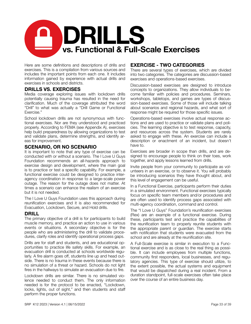

Here are some definitions and descriptions of drills and exercises. This is a compilation from various sources and includes the important points from each one. It includes information gained by experience with actual drills and exercises in schools and districts.

## **DRILLS VS. EXERCISES**

Media coverage exploring issues with lockdown drills potentially causing trauma has resulted in the need for clarification. Much of the coverage attributed the word "Drill" to what was actually a "Drill Game or Functional Exercise."

School lockdown drills are not synonymous with functional exercises. Nor are they understood and practiced properly. According to FEMA (see Appendix A), exercises help build preparedness by allowing organizations to test and validate plans, determine strengths, and identify areas for improvement.

#### **SCENARIO, OR NO SCENARIO**

It is important to note that any type of exercise can be conducted with or without a scenario. The I Love U Guys Foundation recommends an all-hazards approach to exercise design and development, where the main goal is to practice or test a specific capability. For example, a functional exercise could be designed to practice interagency coordination in response to a large-scale power outage. The reason for the outage does not matter. At times a scenario can enhance the realism of an exercise but it is not needed.

The I Love U Guys Foundation uses this approach during reunification exercises and it is also recommended for Evacuation, Lockdown, Secure, and Hold drills.

## **DRILL**

The primary objective of a drill is for participants to build muscle memory, and practice an action to use in various events or situations. A secondary objective is for the people who are administering the drill to validate procedures, clarify roles and identify operational process gaps.

Drills are for staff and students, and are educational opportunities to practice life safety skills. For example, an evacuation drill is conducted at schools worldwide regularly. A fire alarm goes off, students line up and head outside. There is no trauma in these events because there is no simulation of a threat or hazard. Schools do not light fires in the hallways to simulate an evacuation due to fire.

Lockdown drills are similar. There is no simulated violence needed to conduct them. The only information needed is for the protocol to be enacted, "Lockdown, locks, lights, out of sight," and then students and staff perform the proper functions.

## **EXERCISE - TWO CATEGORIES**

There are several types of exercises, which are divided into two categories. The categories are discussion-based exercises and operations-based exercises.

Discussion-based exercises are designed to introduce concepts to organizations. They allow individuals to become familiar with policies and procedures. Seminars, workshops, tabletops, and games are types of discussion-based exercises. Some of those will include talking about scenarios and regional hazards, and what sort of response might be required for those specific issues.

Operations-based exercises involve actual response actions and are used to practice or validate plans and policies. The learning objective is to test response, capacity, and resources across the system. Students are rarely asked to engage with these. An exercise can include a description or enactment of an incident, but doesn't have to.

Exercises are broader in scope than drills, and are designed to encourage people to think on their toes, work together, and apply lessons learned from drills.

Invite people from your community to participate as volunteers in an exercise, or to observe it. You will probably be introducing scenarios they have thought about, and this level of engagement can be useful.

In a Functional Exercise, participants perform their duties in a simulated environment. Functional exercises typically focus on specific team members and/or procedures and are often used to identify process gaps associated with multi-agency coordination, command and control.

The "I Love U Guys" Foundation's reunification exercises (Rex) are an example of a functional exercise. During these, participants test and practice the capabilities of the reunification team to properly reunite students with the appropriate parent or guardian. The exercise starts with notification that students were evacuated from the school and are already at the reunification site.

A Full-Scale exercise is similar in execution to a Functional exercise and is as close to the real thing as possible. It can include employees from multiple functions, community first responders, local businesses, and regulatory agencies. This type of exercise should utilize, to the extent possible, the actual systems and equipment that would be dispatched during a real incident. From a duration standpoint, full-scale exercises often take place over the course of an entire business day.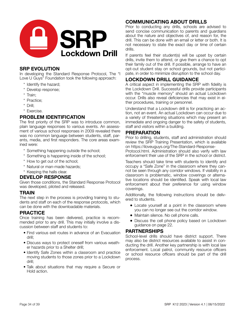

## **SRP EVOLUTION**

In developing the Standard Response Protocol, The "I Love U Guys" Foundation took the following approach:

- \* Identify the hazard;
- \* Develop response;
- \* Train;
- \* Practice;
- \* Drill;
- \* Exercise.

## **PROBLEM IDENTIFICATION**

The first priority of the SRP was to introduce common, plain language responses to various events. An assessment of various school responses in 2009 revealed there was no common language between students, staff, parents, media, and first responders. The core areas examined were:

- \* Something happening outside the school;
- \* Something is happening inside of the school;
- \* How to get out of the school;
- \* Natural or man-made hazards;
- \* Keeping the halls clear.

## **DEVELOP RESPONSE**

Given those conditions, the Standard Response Protocol was developed, piloted and released.

## **TRAIN**

The next step in the process is providing training to students and staff on each of the response protocols, which can be done with the downloadable materials.

## **PRACTICE**

Once training has been delivered, practice is recommended prior to any drill. This may initially involve a discussion between staff and students to:

- Find various exit routes in advance of an Evacuation drill;
- Discuss ways to protect oneself from various weather hazards prior to a Shelter drill;
- Identify Safe Zones within a classroom and practice moving students to those zones prior to a Lockdown drill;
- Talk about situations that may require a Secure or Hold action.

## **COMMUNICATING ABOUT DRILLS**

Prior to conducting any drills, schools are advised to send concise communication to parents and guardians about the nature and objectives of, and reason for, the drill. This can be done with an email or letter or both. It is not necessary to state the exact day or time of certain drills.

If parents feel their student(s) will be upset by certain drills, invite them to attend, or give them a chance to opt their family out of the drill. If possible, arrange to have an opt-out student stay on school grounds, but not participate, in order to minimize disruption to the school day.

## **LOCKDOWN DRILL GUIDANCE**

A critical aspect in implementing the SRP with fidelity is the Lockdown Drill. Successful drills provide participants with the "muscle memory" should an actual Lockdown occur. Drills also reveal deficiencies that may exist in either procedures, training or personnel.

Understand that a Lockdown drill is for practicing an action, not an event. An actual Lockdown can occur due to a variety of threatening situations which may present an immediate and ongoing danger to the safety of students, staff and visitors within a building.

## **PREPARATION**

Prior to drilling, students, staff and administration should review the SRP Training Presentation, which is available on https://iloveuguys.org/The-Standard-Response-

Protocol.html. Administration should also verify with law enforcement their use of the SRP in the school or district.

Teachers should take time with students to identify and occupy a "Safe Zone" in the classroom where they cannot be seen through any corridor windows. If visibility in a classroom is problematic, window coverings or alternative locations should be identified. Speak with local law enforcement about their preference for using window coverings.

Additionally, the following instructions should be delivered to students.

- Locate yourself at a point in the classroom where you can no longer see out the corridor window.
- Maintain silence. No cell phone calls.
- Discuss the cell phone policy based on Lockdown guidance on page 22.

## **PARTNERSHIPS**

School-level drills should have district support. There may also be district resources available to assist in conducting the drill. Another key partnership is with local law enforcement. Local patrol, community resource officers or school resource officers should be part of the drill process.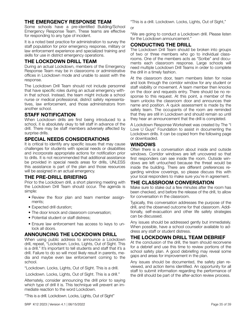## **THE EMERGENCY RESPONSE TEAM**

Some schools have a pre-identified Building/School Emergency Response Team. These teams are effective for responding to any type of incident.

It is a noted best practice for administration to survey the staff population for prior emergency response, military or law enforcement experience and specialized training and skills for use in district emergency operations.

## **THE LOCKDOWN DRILL TEAM**

During an actual Lockdown, members of the Emergency Response Team may be in classrooms or administrative offices in Lockdown mode and unable to assist with the response.

The Lockdown Drill Team should not include personnel that have specific roles during an actual emergency within that school. Instead, the team might include a school nurse or medical professional, district safety representatives, law enforcement, and those administrators from another school.

## **STAFF NOTIFICATION**

When Lockdown drills are first being introduced to a school, it is absolutely okay to tell staff in advance of the drill. There may be staff members adversely affected by surprise drills.

## **SPECIAL NEEDS CONSIDERATIONS**

It is critical to identify any specific issues that may cause challenges for students with special needs or disabilities and incorporate appropriate actions for notification prior to drills. It is not recommended that additional assistance be provided in special needs areas for drills, UNLESS this assistance is part of the plan and those resources will be assigned in an actual emergency.

## **THE PRE-DRILL BRIEFING**

Prior to the Lockdown drill, a short planning meeting with the Lockdown Drill Team should occur. The agenda is simple:

- Review the floor plan and team member assignments;
- Expected drill duration;
- The door knock and classroom conversation:
- Potential student or staff distress:
- Ensure law enforcement has access to keys to unlock all doors.

## **ANNOUNCING THE LOCKDOWN DRILL**

When using public address to announce a Lockdown drill, repeat, "Lockdown. Locks, Lights, Out of Sight. This is a drill." It's important to tell students and staff that it's a drill. Failure to do so will most likely result in parents, media and maybe even law enforcement coming to the school.

"Lockdown. Locks, Lights, Out of Sight. This is a drill.

Lockdown. Locks, Lights, Out of Sight. This is a drill."

Alternately, consider announcing the drill prior to saying which type of drill it is. This technique will prevent an immediate reaction to the word Lockdown.

"This is a drill. Lockdown. Locks, Lights, Out of Sight"

"This is a drill. Lockdown. Locks, Lights, Out of Sight,"

or

"We are going to conduct a Lockdown drill. Please listen for the Lockdown announcement."

## **CONDUCTING THE DRILL**

The Lockdown Drill Team should be broken into groups of two or three members who go to individual classrooms. One of the members acts as "Scribe" and documents each classroom response. Large schools will need multiple Lockdown Drill Teams in order to complete the drill in a timely fashion.

At the classroom door, team members listen for noise and look through the corridor window for any student or staff visibility or movement. A team member then knocks on the door and requests entry. There should be no response to this request. At this point, a member of the team unlocks the classroom door and announces their name and position. A quick assessment is made by the safety team. The occupants of the room are reminded that they are still in Lockdown and should remain so until they hear an announcement that the drill is completed.

A Lockdown Response Worksheet was created by The "I Love U Guys" Foundation to assist in documenting the Lockdown drills. It can be copied from the following page or downloaded.

## **WINDOWS**

Often there is a conversation about inside and outside windows. Corridor windows are left uncovered so that first responders can see inside the room. Outside windows are left untouched because the threat would be inside the building. There are different preferences regarding window coverings, so please discuss this with your local responders to make sure you're in agreement.

## **THE CLASSROOM CONVERSATION**

Make sure to stake out a few minutes after the room has been checked, and before the release of the drill, to allow for conversation in the classroom.

Typically, this conversation addresses the purpose of the drill, and the observed outcome for that classroom. Additionally, self-evacuation and other life safety strategies can be discussed.

Any issues should be addressed gently but immediately. When possible, have a school counselor available to address any staff or student distress.

## **THE LOCKDOWN DRILL TEAM DEBRIEF**

At the conclusion of the drill, the team should reconvene for a debrief and use this time to review portions of the school safety plan. A good debriefing may reveal some gaps and areas for improvement in the plan.

Any issues should be documented, the safety plan reviewed, and action items identified. An opportunity for all staff to submit information regarding the performance of the drill should be part of the after-action review process.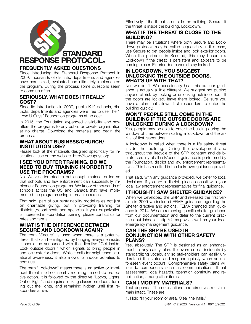

## **FREQUENTLY ASKED QUESTIONS**

Since introducing the Standard Response Protocol in 2009, thousands of districts, departments and agencies have scrutinized, evaluated and ultimately implemented the program. During the process some questions seem to come up often.

## **SERIOUSLY, WHAT DOES IT REALLY COST?**

Since its introduction in 2009, public K12 schools, districts, departments and agencies were free to use The "I Love U Guys" Foundation programs at no cost.

In 2015, the Foundation expanded availability, and now offers the programs to any public or private organization at no charge. Download the materials and begin the process.

## **WHAT ABOUT BUSINESS/CHURCH/ INSTITUTION USE?**

Please look at the materials designed specifically for institutional use on the website. http://iloveuguys.org.

## **I SEE YOU OFFER TRAINING. DO WE NEED TO BUY TRAINING IN ORDER TO USE THE PROGRAMS?**

No. We've attempted to put enough material online so that schools and law enforcement can successfully implement Foundation programs. We know of thousands of schools across the US and Canada that have implemented the programs using internal resources.

That said, part of our sustainability model relies not just on charitable giving, but in providing training for districts ,departments and agencies. If your organization is interested in Foundation training, please contact us for rates and terms.

## **WHAT IS THE DIFFERENCE BETWEEN SECURE AND LOCKDOWN AGAIN?**

The term "Secure" is used when there is a potential threat that can be mitigated by bringing everyone inside. It should be announced with the directive "Get inside. Lock outside doors," which signals to bring people in and lock exterior doors. While it calls for heightened situational awareness, it also allows for indoor activities to continue.

The term "Lockdown" means there is an active or imminent threat inside or nearby requiring immediate protective action. It is followed by the directive "Locks, Lights, Out of Sight" and requires locking classroom doors, turning out the lights, and remaining hidden until first responders arrive.

Effectively if the threat is outside the building, Secure. If the threat is inside the building, Lockdown.

## **WHAT IF THE THREAT IS CLOSE TO THE BUILDING?**

There may be situations where both Secure and Lockdown protocols may be called sequentially. In this case, use Secure to get people inside and lock exterior doors. When the perimeter is Secured, this may become a Lockdown if the threat is persistent and appears to be coming closer. Exterior doors would stay locked.

## **IN LOCKDOWN, YOU SUGGEST UNLOCKING THE OUTSIDE DOORS. WHAT'S UP WITH THAT?**

No, we don't. We occasionally hear this but our guidance is actually a little different. We suggest not putting anyone at risk by locking or unlocking outside doors. If the doors are locked, leave them locked. Be sure you have a plan that allows first responders to enter the building quickly.

## **WON'T PEOPLE STILL COME IN THE BUILDING IF THE OUTSIDE DOORS ARE UNLOCKED DURING A LOCKDOWN?**

Yes, people may be able to enter the building during the window of time between calling a lockdown and the arrival of first responders.

A lockdown is called when there is a life safety threat inside the building. During the development and throughout the lifecycle of the SRP, constant and deliberate scrutiny of all risk/benefit guidance is performed by the Foundation, district and law enforcement representatives. This has resulted in the lockdown guidance provided.

That said, with any guidance provided, we defer to local decisions. If you are a district, please consult with your local law enforcement representatives for final guidance.

## **I THOUGHT I SAW SHELTER GUIDANCE?**

When we developed the SRP and released the first version in 2009 we included FEMA guidance regarding the Shelter directive and actions. FEMA changed that guidance in 2014. We are removing specific shelter guidance from our documentation and defer to the current practices published at http://fema.gov as well as your local emergency management guidance.

## **CAN THE SRP BE USED IN CONJUNCTION WITH OTHER SAFETY PLANS?**

Yes, absolutely. The SRP is designed as an enhancement to any safety plan. It covers critical incidents by standardizing vocabulary so stakeholders can easily understand the status and respond quickly when an unforeseen event occurs. Comprehensive safety plans will include components such as communications, threat assessment, local hazards, operation continuity and reunification, among other items.

## **CAN I MODIFY MATERIALS?**

That depends. The core actions and directives must remain intact. These are:

1. Hold "In your room or area. Clear the halls."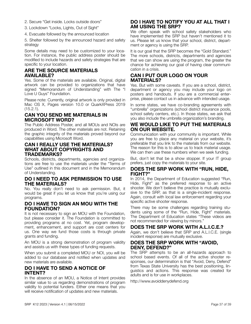- 2. Secure "Get inside. Locks outside doors"
- 3. Lockdown "Locks, Lights, Out of Sight"
- 4. Evacuate followed by the announced location

5. Shelter followed by the announced hazard and safety strategy

Some details may need to be customized to your location. For instance, the public address poster should be modified to include hazards and safety strategies that are specific to your location.

#### **ARE THE SOURCE MATERIALS AVAILABLE?**

Yes. Some of the materials are available. Original, digital artwork can be provided to organizations that have signed "Memorandum of Understanding" with The "I Love U Guys" Foundation.

Please note: Currently, original artwork is only provided in Mac OS X, Pages version 10.0 or QuarkXPress 2019  $(15.2.1)$ .

## **CAN YOU SEND ME MATERIALS IN MICROSOFT WORD?**

The Public Address Poster, and all MOUs and NOIs are produced in Word. The other materials are not. Retaining the graphic integrity of the materials proved beyond our capabilities using Microsoft Word.

#### **CAN I REALLY USE THE MATERIALS? WHAT ABOUT COPYRIGHTS AND TRADEMARKS?**

Schools, districts, departments, agencies and organizations are free to use the materials under the "Terms of Use" outlined in this document and in the Memorandum of Understanding.

## **DO I NEED TO ASK PERMISSION TO USE THE MATERIALS?**

No. You really don't need to ask permission. But, it would be great if you let us know that you're using our programs.

## **DO I HAVE TO SIGN AN MOU WITH THE FOUNDATION?**

It is not necessary to sign an MOU with the Foundation, but please consider it. The Foundation is committed to providing programs at no cost. Yet, program development, enhancement, and support are cost centers for us. One way we fund those costs is through private grants and funding.

An MOU is a strong demonstration of program validity and assists us with these types of funding requests.

When you submit a completed MOU or NOI, you will be added to our database and notified when updates and new materials are available.

## **DO I HAVE TO SEND A NOTICE OF INTENT?**

In the absence of an MOU, a Notice of Intent provides similar value to us regarding demonstrations of program validity to potential funders. Either one means that you will receive notification of updates and new materials.

## **DO I HAVE TO NOTIFY YOU AT ALL THAT I AM USING THE SRP?**

We often speak with school safety stakeholders who have implemented the SRP but haven't mentioned it to us. Please let us know that your school, district, department or agency is using the SRP.

It is our goal that the SRP becomes the "Gold Standard." The more schools, districts, departments and agencies that we can show are using the program, the greater the chance for achieving our goal of having clear communication in a crisis.

## **CAN I PUT OUR LOGO ON YOUR MATERIALS?**

Yes. But with some caveats. If you are a school, district, department or agency you may include your logo on posters and handouts. If you are a commercial enterprise, please contact us in advance with intended usage.

In some states, we have co-branding agreements with "umbrella" organizations (school district insurance pools, school safety centers, etc.). In those states, we ask that you also include the umbrella organization's branding.

## **WE WOULD LIKE TO PUT THE MATERIALS ON OUR WEBSITE.**

Communication with your community is important. While you are free to place any material on your website, it's preferable that you link to the materials from our website. The reason for this is to allow us to track material usage. We can then use these numbers when we seek funding.

But, don't let that be a show stopper. If your IT group prefers, just copy the materials to your site.

## **DOES THE SRP WORK WITH "RUN, HIDE, FIGHT?"**

In 2014, the Department of Education suggested "Run, Hide, Fight" as the preferred response to an active shooter. We don't believe the practice is mutually exclusive to the SRP, as that is a single-incident response. Again, consult with local law enforcement regarding your specific active shooter response.

There may be some challenges regarding training students using some of the "Run, Hide, Fight" materials. The Department of Education states "These videos are not recommended for viewing by minors."

## **DOES THE SRP WORK WITH A.L.I.C.E.?**

Again, we don't believe that SRP and A.L.I.C.E. (single incident response) are mutually exclusive.

## **DOES THE SRP WORK WITH "AVOID, DENY, DEFEND?"**

The SRP attempts to be an all-hazards approach to school based events. Of all of the active shooter responses, our determination is that "Avoid, Deny, Defend" from Texas State University has the best positioning, linguistics and actions. This response was created for adults and is for use in workplaces.

http://www.avoiddenydefend.org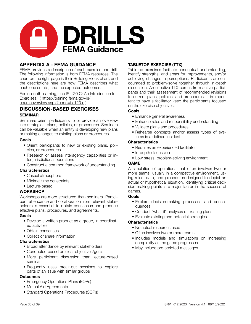

## **APPENDIX A - FEMA GUIDANCE**

FEMA provides a description of each exercise and drill. The following information is from FEMA resources. The chart on the right page is their Building Block chart, and the descriptions here are how FEMA describes what each one entails, and the expected outcomes.

For in-depth learning, see IS-120.C: An Introduction to Exercises: ( [https://training.fema.gov/is/](https://training.fema.gov/is/courseoverview.aspx?code=is-120.c) [courseoverview.aspx?code=is-120.c \)](https://training.fema.gov/is/courseoverview.aspx?code=is-120.c)

## **DISCUSSION-BASED EXERCISES**

## **SEMINAR**

Seminars orient participants to or provide an overview into strategies, plans, policies, or procedures. Seminars can be valuable when an entity is developing new plans or making changes to existing plans or procedures.

#### **Goals**

- Orient participants to new or existing plans, policies, or procedures
- Research or assess interagency capabilities or inter-jurisdictional operations
- Construct a common framework of understanding

#### **Characteristics**

- Casual atmosphere
- Minimal time constraints
- Lecture-based

## **WORKSHOP**

Workshops are more structured than seminars. Participant attendance and collaboration from relevant stakeholders is essential to obtain consensus and produce effective plans, procedures, and agreements.

#### **Goals**

- Develop a written product as a group, in coordinated activities
- Obtain consensus
- Collect or share information

#### **Characteristics**

- Broad attendance by relevant stakeholders
- Conducted based on clear objectives/goals
- More participant discussion than lecture-based seminar
- Frequently uses break-out sessions to explore parts of an issue with similar groups

## **Outcomes**

- Emergency Operations Plans (EOPs)
- Mutual Aid Agreements
- Standard Operations Procedures (SOPs)

## **TABLETOP EXERCISE (TTX)**

Tabletop exercises facilitate conceptual understanding, identify strengths, and areas for improvements, and/or achieving changes in perceptions. Participants are encouraged to problem-solve together through in-depth discussion. An effective TTX comes from active participants and their assessment of recommended revisions to current plans, policies, and procedures. It is important to have a facilitator keep the participants focused on the exercise objectives.

#### **Goals**

- Enhance general awareness
- Enhance roles and responsibility understanding
- Validate plans and procedures
- Rehearse concepts and/or assess types of systems in a defined incident

#### **Characteristics**

- Requires an experienced facilitator
- In-depth discussion
- Low stress, problem-solving environment

#### **GAME**

A simulation of operations that often involves two or more teams, usually in a competitive environment, using rules, data, and procedures designed to depict an actual or hypothetical situation. Identifying critical decision-making points is a major factor in the success of games.

## **Goals**

- Explore decision-making processes and consequences
- Conduct "what-if" analyses of existing plans
- Evaluate existing and potential strategies

## **Characteristics**

- No actual resources used
- Often involves two or more teams
- Includes models and simulations on increasing complexity as the game progresses
- May include pre-scripted messages